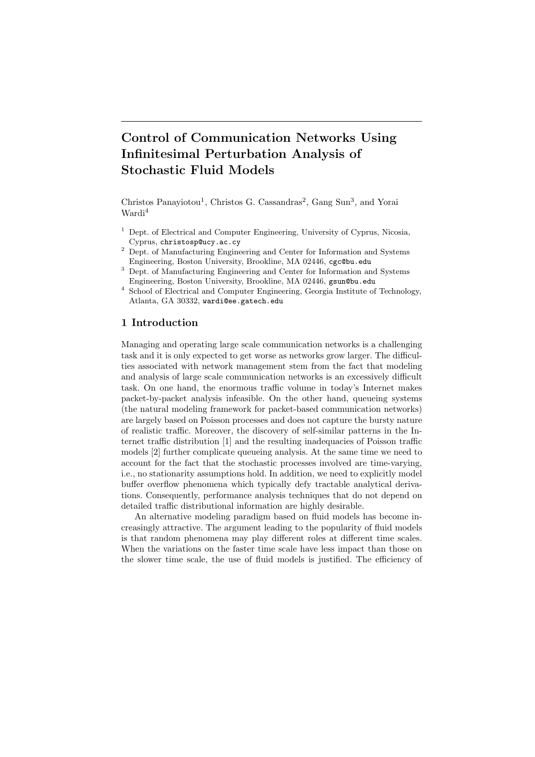# Control of Communication Networks Using Infinitesimal Perturbation Analysis of Stochastic Fluid Models

Christos Panayiotou<sup>1</sup>, Christos G. Cassandras<sup>2</sup>, Gang Sun<sup>3</sup>, and Yorai Wardi<sup>4</sup>

- <sup>1</sup> Dept. of Electrical and Computer Engineering, University of Cyprus, Nicosia, Cyprus, christosp@ucy.ac.cy
- <sup>2</sup> Dept. of Manufacturing Engineering and Center for Information and Systems Engineering, Boston University, Brookline, MA 02446, cgc@bu.edu
- <sup>3</sup> Dept. of Manufacturing Engineering and Center for Information and Systems Engineering, Boston University, Brookline, MA 02446, gsun@bu.edu
- <sup>4</sup> School of Electrical and Computer Engineering, Georgia Institute of Technology, Atlanta, GA 30332, wardi@ee.gatech.edu

# 1 Introduction

Managing and operating large scale communication networks is a challenging task and it is only expected to get worse as networks grow larger. The difficulties associated with network management stem from the fact that modeling and analysis of large scale communication networks is an excessively difficult task. On one hand, the enormous traffic volume in today's Internet makes packet-by-packet analysis infeasible. On the other hand, queueing systems (the natural modeling framework for packet-based communication networks) are largely based on Poisson processes and does not capture the bursty nature of realistic traffic. Moreover, the discovery of self-similar patterns in the Internet traffic distribution [1] and the resulting inadequacies of Poisson traffic models [2] further complicate queueing analysis. At the same time we need to account for the fact that the stochastic processes involved are time-varying, i.e., no stationarity assumptions hold. In addition, we need to explicitly model buffer overflow phenomena which typically defy tractable analytical derivations. Consequently, performance analysis techniques that do not depend on detailed traffic distributional information are highly desirable.

An alternative modeling paradigm based on fluid models has become increasingly attractive. The argument leading to the popularity of fluid models is that random phenomena may play different roles at different time scales. When the variations on the faster time scale have less impact than those on the slower time scale, the use of fluid models is justified. The efficiency of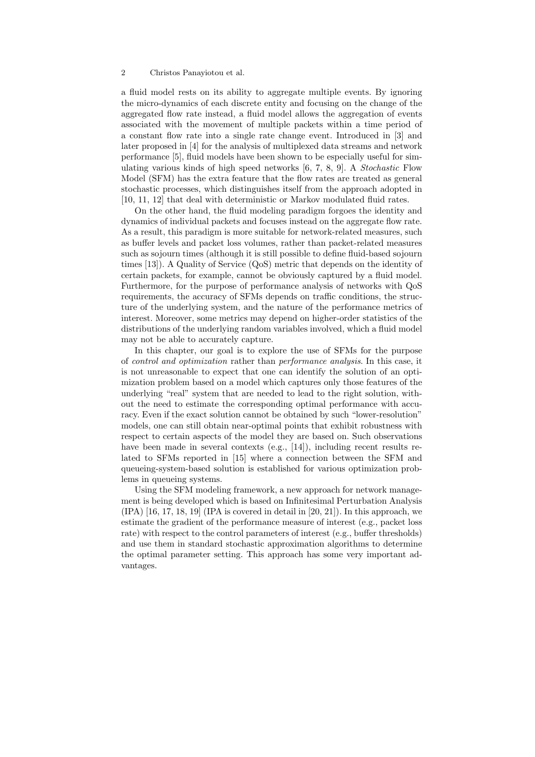a fluid model rests on its ability to aggregate multiple events. By ignoring the micro-dynamics of each discrete entity and focusing on the change of the aggregated flow rate instead, a fluid model allows the aggregation of events associated with the movement of multiple packets within a time period of a constant flow rate into a single rate change event. Introduced in [3] and later proposed in [4] for the analysis of multiplexed data streams and network performance [5], fluid models have been shown to be especially useful for simulating various kinds of high speed networks [6, 7, 8, 9]. A Stochastic Flow Model (SFM) has the extra feature that the flow rates are treated as general stochastic processes, which distinguishes itself from the approach adopted in [10, 11, 12] that deal with deterministic or Markov modulated fluid rates.

On the other hand, the fluid modeling paradigm forgoes the identity and dynamics of individual packets and focuses instead on the aggregate flow rate. As a result, this paradigm is more suitable for network-related measures, such as buffer levels and packet loss volumes, rather than packet-related measures such as sojourn times (although it is still possible to define fluid-based sojourn times [13]). A Quality of Service (QoS) metric that depends on the identity of certain packets, for example, cannot be obviously captured by a fluid model. Furthermore, for the purpose of performance analysis of networks with QoS requirements, the accuracy of SFMs depends on traffic conditions, the structure of the underlying system, and the nature of the performance metrics of interest. Moreover, some metrics may depend on higher-order statistics of the distributions of the underlying random variables involved, which a fluid model may not be able to accurately capture.

In this chapter, our goal is to explore the use of SFMs for the purpose of control and optimization rather than performance analysis. In this case, it is not unreasonable to expect that one can identify the solution of an optimization problem based on a model which captures only those features of the underlying "real" system that are needed to lead to the right solution, without the need to estimate the corresponding optimal performance with accuracy. Even if the exact solution cannot be obtained by such "lower-resolution" models, one can still obtain near-optimal points that exhibit robustness with respect to certain aspects of the model they are based on. Such observations have been made in several contexts (e.g., [14]), including recent results related to SFMs reported in [15] where a connection between the SFM and queueing-system-based solution is established for various optimization problems in queueing systems.

Using the SFM modeling framework, a new approach for network management is being developed which is based on Infinitesimal Perturbation Analysis  $(IPA)$  [16, 17, 18, 19] (IPA is covered in detail in [20, 21]). In this approach, we estimate the gradient of the performance measure of interest (e.g., packet loss rate) with respect to the control parameters of interest (e.g., buffer thresholds) and use them in standard stochastic approximation algorithms to determine the optimal parameter setting. This approach has some very important advantages.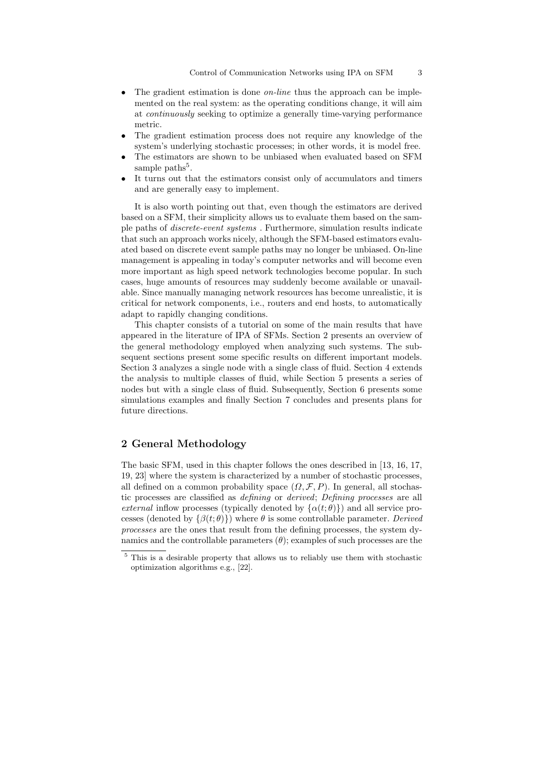- The gradient estimation is done *on-line* thus the approach can be implemented on the real system: as the operating conditions change, it will aim at continuously seeking to optimize a generally time-varying performance metric.
- The gradient estimation process does not require any knowledge of the system's underlying stochastic processes; in other words, it is model free.
- The estimators are shown to be unbiased when evaluated based on SFM sample paths<sup>5</sup>.
- It turns out that the estimators consist only of accumulators and timers and are generally easy to implement.

It is also worth pointing out that, even though the estimators are derived based on a SFM, their simplicity allows us to evaluate them based on the sample paths of discrete-event systems . Furthermore, simulation results indicate that such an approach works nicely, although the SFM-based estimators evaluated based on discrete event sample paths may no longer be unbiased. On-line management is appealing in today's computer networks and will become even more important as high speed network technologies become popular. In such cases, huge amounts of resources may suddenly become available or unavailable. Since manually managing network resources has become unrealistic, it is critical for network components, i.e., routers and end hosts, to automatically adapt to rapidly changing conditions.

This chapter consists of a tutorial on some of the main results that have appeared in the literature of IPA of SFMs. Section 2 presents an overview of the general methodology employed when analyzing such systems. The subsequent sections present some specific results on different important models. Section 3 analyzes a single node with a single class of fluid. Section 4 extends the analysis to multiple classes of fluid, while Section 5 presents a series of nodes but with a single class of fluid. Subsequently, Section 6 presents some simulations examples and finally Section 7 concludes and presents plans for future directions.

# 2 General Methodology

The basic SFM, used in this chapter follows the ones described in [13, 16, 17, 19, 23] where the system is characterized by a number of stochastic processes, all defined on a common probability space  $(\Omega, \mathcal{F}, P)$ . In general, all stochastic processes are classified as defining or derived; Defining processes are all external inflow processes (typically denoted by  $\{\alpha(t;\theta)\}\$ ) and all service processes (denoted by  $\{\beta(t;\theta)\}\$ ) where  $\theta$  is some controllable parameter. Derived processes are the ones that result from the defining processes, the system dynamics and the controllable parameters  $(\theta)$ ; examples of such processes are the

<sup>5</sup> This is a desirable property that allows us to reliably use them with stochastic optimization algorithms e.g., [22].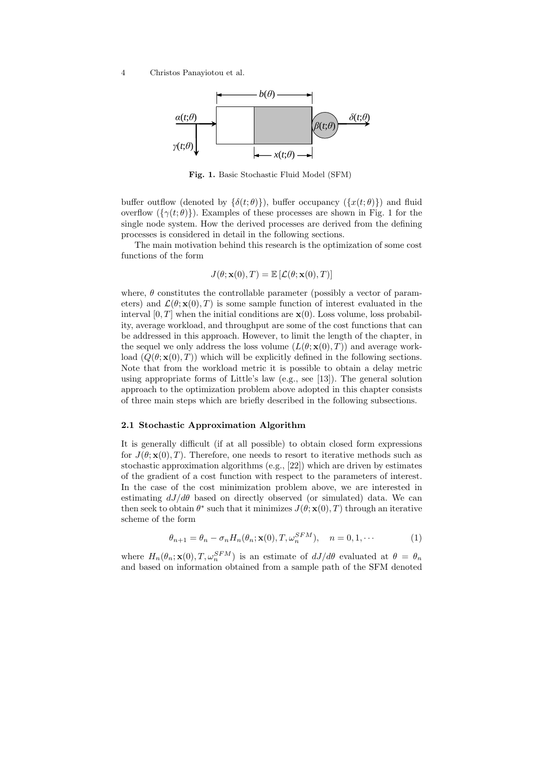

Fig. 1. Basic Stochastic Fluid Model (SFM)

buffer outflow (denoted by  $\{\delta(t;\theta)\}\)$ , buffer occupancy  $(\{x(t;\theta)\})$  and fluid overflow  $({\gamma(t; \theta)})$ . Examples of these processes are shown in Fig. 1 for the single node system. How the derived processes are derived from the defining processes is considered in detail in the following sections.

The main motivation behind this research is the optimization of some cost functions of the form

$$
J(\theta; \mathbf{x}(0), T) = \mathbb{E}\left[\mathcal{L}(\theta; \mathbf{x}(0), T)\right]
$$

where,  $\theta$  constitutes the controllable parameter (possibly a vector of parameters) and  $\mathcal{L}(\theta; \mathbf{x}(0), T)$  is some sample function of interest evaluated in the interval  $[0, T]$  when the initial conditions are  $\mathbf{x}(0)$ . Loss volume, loss probability, average workload, and throughput are some of the cost functions that can be addressed in this approach. However, to limit the length of the chapter, in the sequel we only address the loss volume  $(L(\theta; \mathbf{x}(0), T))$  and average workload  $(Q(\theta; \mathbf{x}(0), T))$  which will be explicitly defined in the following sections. Note that from the workload metric it is possible to obtain a delay metric using appropriate forms of Little's law (e.g., see [13]). The general solution approach to the optimization problem above adopted in this chapter consists of three main steps which are briefly described in the following subsections.

#### 2.1 Stochastic Approximation Algorithm

It is generally difficult (if at all possible) to obtain closed form expressions for  $J(\theta; \mathbf{x}(0), T)$ . Therefore, one needs to resort to iterative methods such as stochastic approximation algorithms (e.g., [22]) which are driven by estimates of the gradient of a cost function with respect to the parameters of interest. In the case of the cost minimization problem above, we are interested in estimating  $dJ/d\theta$  based on directly observed (or simulated) data. We can then seek to obtain  $\theta^*$  such that it minimizes  $J(\theta; \mathbf{x}(0), T)$  through an iterative scheme of the form

$$
\theta_{n+1} = \theta_n - \sigma_n H_n(\theta_n; \mathbf{x}(0), T, \omega_n^{SFM}), \quad n = 0, 1, \cdots
$$
 (1)

where  $H_n(\theta_n; \mathbf{x}(0), T, \omega_n^{SFM})$  is an estimate of  $dJ/d\theta$  evaluated at  $\theta = \theta_n$ and based on information obtained from a sample path of the SFM denoted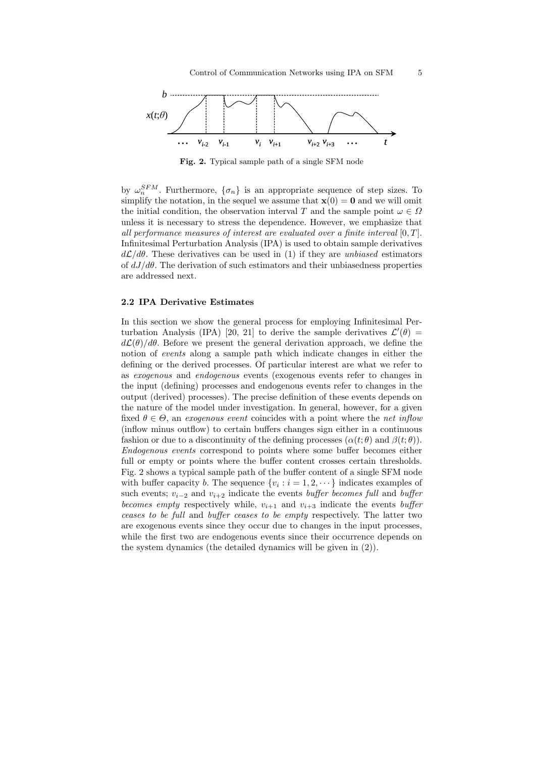

Fig. 2. Typical sample path of a single SFM node

by  $\omega_n^{SFM}$ . Furthermore,  $\{\sigma_n\}$  is an appropriate sequence of step sizes. To simplify the notation, in the sequel we assume that  $\mathbf{x}(0) = \mathbf{0}$  and we will omit the initial condition, the observation interval T and the sample point  $\omega \in \Omega$ unless it is necessary to stress the dependence. However, we emphasize that all performance measures of interest are evaluated over a finite interval  $[0, T]$ . Infinitesimal Perturbation Analysis (IPA) is used to obtain sample derivatives  $d\mathcal{L}/d\theta$ . These derivatives can be used in (1) if they are unbiased estimators of  $dJ/d\theta$ . The derivation of such estimators and their unbiasedness properties are addressed next.

#### 2.2 IPA Derivative Estimates

In this section we show the general process for employing Infinitesimal Perturbation Analysis (IPA) [20, 21] to derive the sample derivatives  $\mathcal{L}'(\theta) =$  $d\mathcal{L}(\theta)/d\theta$ . Before we present the general derivation approach, we define the notion of events along a sample path which indicate changes in either the defining or the derived processes. Of particular interest are what we refer to as exogenous and endogenous events (exogenous events refer to changes in the input (defining) processes and endogenous events refer to changes in the output (derived) processes). The precise definition of these events depends on the nature of the model under investigation. In general, however, for a given fixed  $\theta \in \Theta$ , an exogenous event coincides with a point where the net inflow (inflow minus outflow) to certain buffers changes sign either in a continuous fashion or due to a discontinuity of the defining processes  $(\alpha(t; \theta)$  and  $\beta(t; \theta))$ . Endogenous events correspond to points where some buffer becomes either full or empty or points where the buffer content crosses certain thresholds. Fig. 2 shows a typical sample path of the buffer content of a single SFM node with buffer capacity *b*. The sequence  $\{v_i : i = 1, 2, \dots\}$  indicates examples of such events;  $v_{i-2}$  and  $v_{i+2}$  indicate the events *buffer becomes full and buffer* becomes empty respectively while,  $v_{i+1}$  and  $v_{i+3}$  indicate the events buffer ceases to be full and buffer ceases to be empty respectively. The latter two are exogenous events since they occur due to changes in the input processes, while the first two are endogenous events since their occurrence depends on the system dynamics (the detailed dynamics will be given in (2)).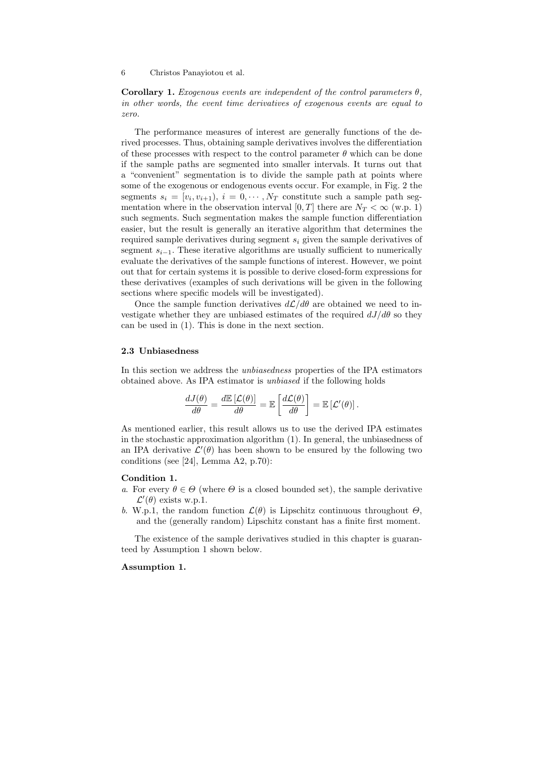Corollary 1. Exogenous events are independent of the control parameters  $\theta$ , in other words, the event time derivatives of exogenous events are equal to zero.

The performance measures of interest are generally functions of the derived processes. Thus, obtaining sample derivatives involves the differentiation of these processes with respect to the control parameter  $\theta$  which can be done if the sample paths are segmented into smaller intervals. It turns out that a "convenient" segmentation is to divide the sample path at points where some of the exogenous or endogenous events occur. For example, in Fig. 2 the segments  $s_i = [v_i, v_{i+1}), i = 0, \cdots, N_T$  constitute such a sample path segmentation where in the observation interval [0, T] there are  $N_T < \infty$  (w.p. 1) such segments. Such segmentation makes the sample function differentiation easier, but the result is generally an iterative algorithm that determines the required sample derivatives during segment  $s_i$  given the sample derivatives of segment  $s_{i-1}$ . These iterative algorithms are usually sufficient to numerically evaluate the derivatives of the sample functions of interest. However, we point out that for certain systems it is possible to derive closed-form expressions for these derivatives (examples of such derivations will be given in the following sections where specific models will be investigated).

Once the sample function derivatives  $d\mathcal{L}/d\theta$  are obtained we need to investigate whether they are unbiased estimates of the required  $dJ/d\theta$  so they can be used in (1). This is done in the next section.

# 2.3 Unbiasedness

In this section we address the unbiasedness properties of the IPA estimators obtained above. As IPA estimator is unbiased if the following holds

$$
\frac{dJ(\theta)}{d\theta} = \frac{d\mathbb{E}\left[\mathcal{L}(\theta)\right]}{d\theta} = \mathbb{E}\left[\frac{d\mathcal{L}(\theta)}{d\theta}\right] = \mathbb{E}\left[\mathcal{L}'(\theta)\right].
$$

As mentioned earlier, this result allows us to use the derived IPA estimates in the stochastic approximation algorithm (1). In general, the unbiasedness of an IPA derivative  $\mathcal{L}'(\theta)$  has been shown to be ensured by the following two conditions (see [24], Lemma A2, p.70):

#### Condition 1.

- a. For every  $\theta \in \Theta$  (where  $\Theta$  is a closed bounded set), the sample derivative  $\mathcal{L}'(\theta)$  exists w.p.1.
- b. W.p.1, the random function  $\mathcal{L}(\theta)$  is Lipschitz continuous throughout  $\Theta$ , and the (generally random) Lipschitz constant has a finite first moment.

The existence of the sample derivatives studied in this chapter is guaranteed by Assumption 1 shown below.

### Assumption 1.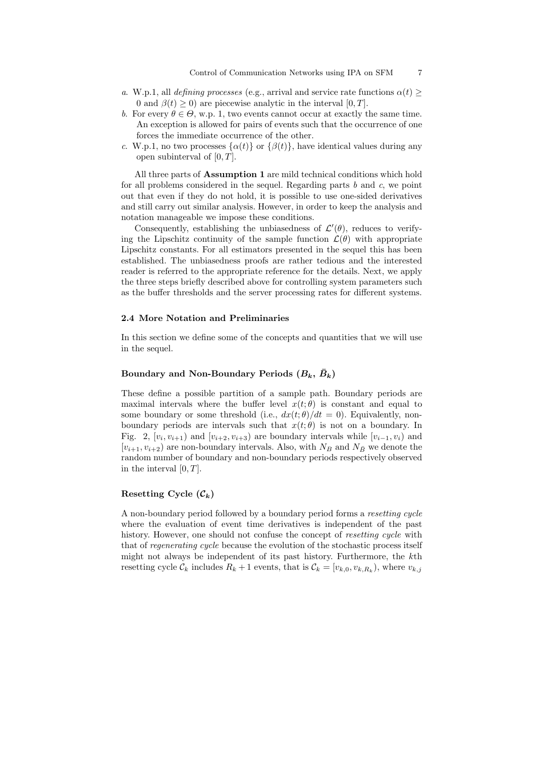- a. W.p.1, all defining processes (e.g., arrival and service rate functions  $\alpha(t) \geq$ 0 and  $\beta(t) > 0$ ) are piecewise analytic in the interval [0, T].
- b. For every  $\theta \in \Theta$ , w.p. 1, two events cannot occur at exactly the same time. An exception is allowed for pairs of events such that the occurrence of one forces the immediate occurrence of the other.
- c. W.p.1, no two processes  $\{\alpha(t)\}\$  or  $\{\beta(t)\}\$ , have identical values during any open subinterval of  $[0, T]$ .

All three parts of Assumption 1 are mild technical conditions which hold for all problems considered in the sequel. Regarding parts  $b$  and  $c$ , we point out that even if they do not hold, it is possible to use one-sided derivatives and still carry out similar analysis. However, in order to keep the analysis and notation manageable we impose these conditions.

Consequently, establishing the unbiasedness of  $\mathcal{L}'(\theta)$ , reduces to verifying the Lipschitz continuity of the sample function  $\mathcal{L}(\theta)$  with appropriate Lipschitz constants. For all estimators presented in the sequel this has been established. The unbiasedness proofs are rather tedious and the interested reader is referred to the appropriate reference for the details. Next, we apply the three steps briefly described above for controlling system parameters such as the buffer thresholds and the server processing rates for different systems.

### 2.4 More Notation and Preliminaries

In this section we define some of the concepts and quantities that we will use in the sequel.

### Boundary and Non-Boundary Periods  $(B_k, \bar{B}_k)$

These define a possible partition of a sample path. Boundary periods are maximal intervals where the buffer level  $x(t; \theta)$  is constant and equal to some boundary or some threshold (i.e.,  $dx(t; \theta)/dt = 0$ ). Equivalently, nonboundary periods are intervals such that  $x(t; \theta)$  is not on a boundary. In Fig. 2,  $[v_i, v_{i+1}]$  and  $[v_{i+2}, v_{i+3}]$  are boundary intervals while  $[v_{i-1}, v_i]$  and  $[v_{i+1}, v_{i+2}]$  are non-boundary intervals. Also, with  $N_B$  and  $N_{\bar{B}}$  we denote the random number of boundary and non-boundary periods respectively observed in the interval  $[0, T]$ .

#### Resetting Cycle  $(\mathcal{C}_k)$

A non-boundary period followed by a boundary period forms a resetting cycle where the evaluation of event time derivatives is independent of the past history. However, one should not confuse the concept of *resetting cycle* with that of regenerating cycle because the evolution of the stochastic process itself might not always be independent of its past history. Furthermore, the kth resetting cycle  $\mathcal{C}_k$  includes  $R_k + 1$  events, that is  $\mathcal{C}_k = [v_{k,0}, v_{k,R_k}),$  where  $v_{k,j}$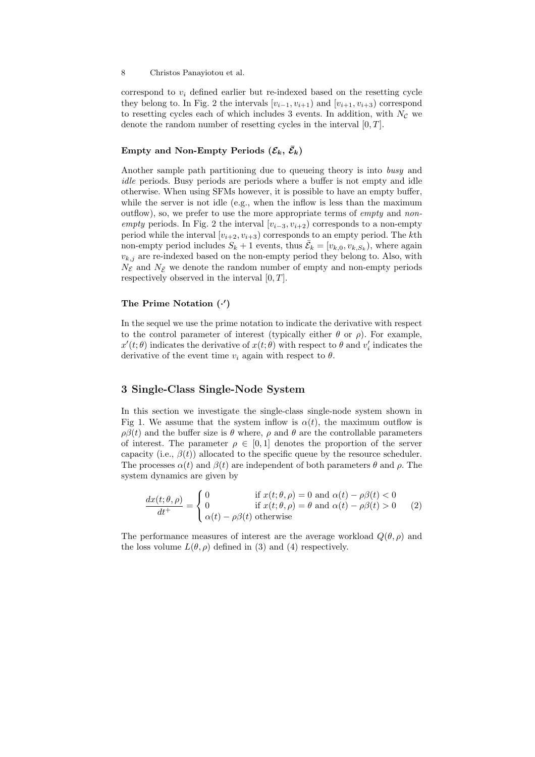correspond to  $v_i$  defined earlier but re-indexed based on the resetting cycle they belong to. In Fig. 2 the intervals  $[v_{i-1}, v_{i+1}]$  and  $[v_{i+1}, v_{i+3}]$  correspond to resetting cycles each of which includes 3 events. In addition, with  $N_c$  we denote the random number of resetting cycles in the interval  $[0, T]$ .

#### Empty and Non-Empty Periods  $(\mathcal{E}_k, \bar{\mathcal{E}}_k)$

Another sample path partitioning due to queueing theory is into busy and idle periods. Busy periods are periods where a buffer is not empty and idle otherwise. When using SFMs however, it is possible to have an empty buffer, while the server is not idle (e.g., when the inflow is less than the maximum outflow), so, we prefer to use the more appropriate terms of *empty* and *non*empty periods. In Fig. 2 the interval  $[v_{i-3}, v_{i+2}]$  corresponds to a non-empty period while the interval  $[v_{i+2}, v_{i+3}]$  corresponds to an empty period. The kth non-empty period includes  $S_k + 1$  events, thus  $\bar{\mathcal{E}}_k = [v_{k,0}, v_{k,S_k})$ , where again  $v_{k,j}$  are re-indexed based on the non-empty period they belong to. Also, with  $N_{\mathcal{E}}$  and  $N_{\bar{\mathcal{E}}}$  we denote the random number of empty and non-empty periods respectively observed in the interval  $[0, T]$ .

# The Prime Notation  $(·)$

In the sequel we use the prime notation to indicate the derivative with respect to the control parameter of interest (typically either  $\theta$  or  $\rho$ ). For example,  $x'(t; \theta)$  indicates the derivative of  $x(t; \theta)$  with respect to  $\theta$  and  $v'_i$  indicates the derivative of the event time  $v_i$  again with respect to  $\theta$ .

# 3 Single-Class Single-Node System

In this section we investigate the single-class single-node system shown in Fig 1. We assume that the system inflow is  $\alpha(t)$ , the maximum outflow is  $\rho \beta(t)$  and the buffer size is  $\theta$  where,  $\rho$  and  $\theta$  are the controllable parameters of interest. The parameter  $\rho \in [0,1]$  denotes the proportion of the server capacity (i.e.,  $\beta(t)$ ) allocated to the specific queue by the resource scheduler. The processes  $\alpha(t)$  and  $\beta(t)$  are independent of both parameters  $\theta$  and  $\rho$ . The system dynamics are given by

$$
\frac{dx(t; \theta, \rho)}{dt^+} = \begin{cases} 0 & \text{if } x(t; \theta, \rho) = 0 \text{ and } \alpha(t) - \rho\beta(t) < 0\\ 0 & \text{if } x(t; \theta, \rho) = \theta \text{ and } \alpha(t) - \rho\beta(t) > 0\\ \alpha(t) - \rho\beta(t) & \text{otherwise} \end{cases}
$$
(2)

The performance measures of interest are the average workload  $Q(\theta, \rho)$  and the loss volume  $L(\theta, \rho)$  defined in (3) and (4) respectively.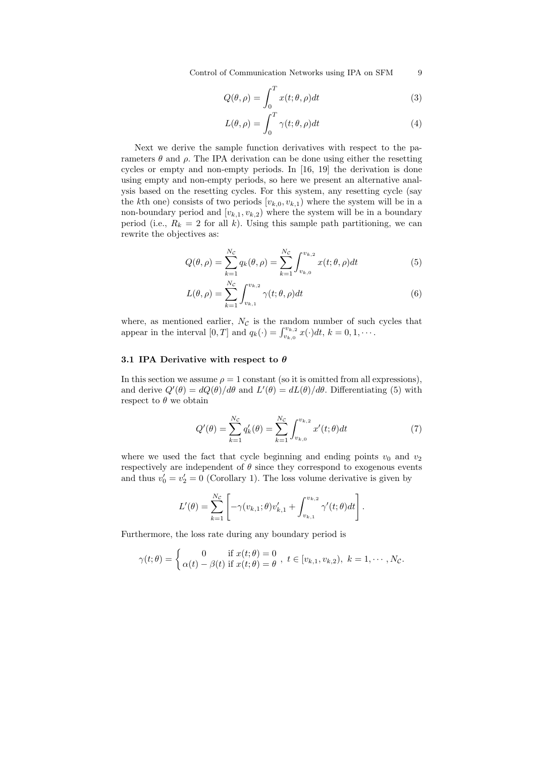Control of Communication Networks using IPA on SFM 9

$$
Q(\theta, \rho) = \int_0^T x(t; \theta, \rho) dt
$$
 (3)

$$
L(\theta, \rho) = \int_0^T \gamma(t; \theta, \rho) dt
$$
 (4)

Next we derive the sample function derivatives with respect to the parameters θ and ρ. The IPA derivation can be done using either the resetting cycles or empty and non-empty periods. In [16, 19] the derivation is done using empty and non-empty periods, so here we present an alternative analysis based on the resetting cycles. For this system, any resetting cycle (say the kth one) consists of two periods  $[v_{k,0}, v_{k,1}]$  where the system will be in a non-boundary period and  $[v_{k,1}, v_{k,2}]$  where the system will be in a boundary period (i.e.,  $R_k = 2$  for all k). Using this sample path partitioning, we can rewrite the objectives as:

$$
Q(\theta, \rho) = \sum_{k=1}^{N_{\mathcal{C}}} q_k(\theta, \rho) = \sum_{k=1}^{N_{\mathcal{C}}} \int_{v_{k,0}}^{v_{k,2}} x(t; \theta, \rho) dt
$$
(5)

$$
L(\theta, \rho) = \sum_{k=1}^{N_c} \int_{v_{k,1}}^{v_{k,2}} \gamma(t; \theta, \rho) dt
$$
\n(6)

where, as mentioned earlier,  $N_{\mathcal{C}}$  is the random number of such cycles that where, as mentioned earlier,  $N_c$  is the random number of such appear in the interval  $[0, T]$  and  $q_k(\cdot) = \int_{v_{k,0}}^{v_{k,2}} x(\cdot) dt$ ,  $k = 0, 1, \cdots$ .

# 3.1 IPA Derivative with respect to  $\theta$

In this section we assume  $\rho = 1$  constant (so it is omitted from all expressions), and derive  $Q'(\theta) = dQ(\theta)/d\theta$  and  $L'(\theta) = dL(\theta)/d\theta$ . Differentiating (5) with respect to  $\theta$  we obtain

$$
Q'(\theta) = \sum_{k=1}^{N_C} q'_k(\theta) = \sum_{k=1}^{N_C} \int_{v_{k,0}}^{v_{k,2}} x'(t; \theta) dt
$$
\n(7)

where we used the fact that cycle beginning and ending points  $v_0$  and  $v_2$ respectively are independent of  $\theta$  since they correspond to exogenous events and thus  $v'_0 = v'_2 = 0$  (Corollary 1). The loss volume derivative is given by

$$
L'(\theta) = \sum_{k=1}^{N_C} \left[ -\gamma(v_{k,1}; \theta) v'_{k,1} + \int_{v_{k,1}}^{v_{k,2}} \gamma'(t; \theta) dt \right].
$$

Furthermore, the loss rate during any boundary period is

$$
\gamma(t; \theta) = \begin{cases} 0 & \text{if } x(t; \theta) = 0 \\ \alpha(t) - \beta(t) & \text{if } x(t; \theta) = \theta \end{cases}, t \in [v_{k,1}, v_{k,2}), k = 1, \cdots, N_{\mathcal{C}}.
$$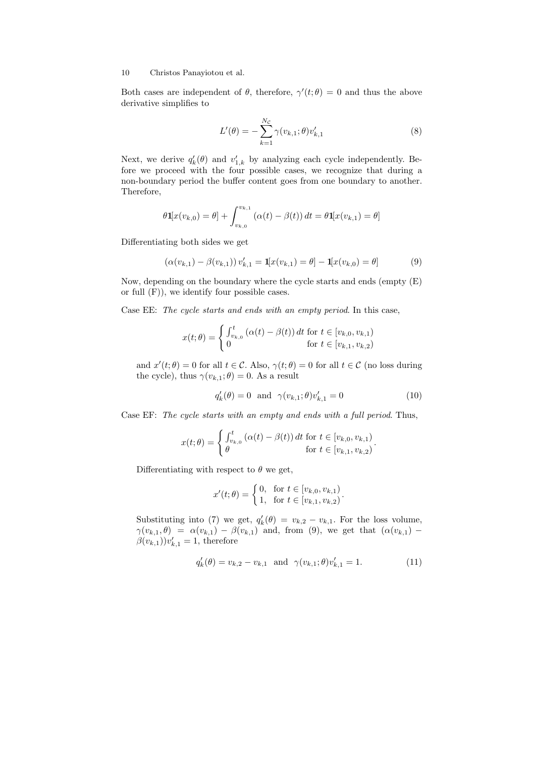Both cases are independent of  $\theta$ , therefore,  $\gamma'(t; \theta) = 0$  and thus the above derivative simplifies to

$$
L'(\theta) = -\sum_{k=1}^{N_c} \gamma(v_{k,1}; \theta) v'_{k,1}
$$
\n(8)

Next, we derive  $q'_k(\theta)$  and  $v'_{1,k}$  by analyzing each cycle independently. Before we proceed with the four possible cases, we recognize that during a non-boundary period the buffer content goes from one boundary to another. Therefore,

$$
\theta \mathbf{1}[x(v_{k,0}) = \theta] + \int_{v_{k,0}}^{v_{k,1}} (\alpha(t) - \beta(t)) dt = \theta \mathbf{1}[x(v_{k,1}) = \theta]
$$

Differentiating both sides we get

$$
(\alpha(v_{k,1}) - \beta(v_{k,1})) v'_{k,1} = \mathbf{1}[x(v_{k,1}) = \theta] - \mathbf{1}[x(v_{k,0}) = \theta]
$$
 (9)

Now, depending on the boundary where the cycle starts and ends (empty (E) or full (F)), we identify four possible cases.

Case EE: The cycle starts and ends with an empty period. In this case,

$$
x(t; \theta) = \begin{cases} \int_{v_{k,0}}^{t} (\alpha(t) - \beta(t)) dt \text{ for } t \in [v_{k,0}, v_{k,1}) \\ 0 \text{ for } t \in [v_{k,1}, v_{k,2}) \end{cases}
$$

and  $x'(t; \theta) = 0$  for all  $t \in \mathcal{C}$ . Also,  $\gamma(t; \theta) = 0$  for all  $t \in \mathcal{C}$  (no loss during the cycle), thus  $\gamma(v_{k,1}; \theta) = 0$ . As a result

$$
q'_k(\theta) = 0 \text{ and } \gamma(v_{k,1}; \theta)v'_{k,1} = 0 \tag{10}
$$

Case EF: The cycle starts with an empty and ends with a full period. Thus,

$$
x(t; \theta) = \begin{cases} \int_{v_{k,0}}^t (\alpha(t) - \beta(t)) dt \text{ for } t \in [v_{k,0}, v_{k,1}) \\ \theta \text{ for } t \in [v_{k,1}, v_{k,2}) \end{cases}.
$$

Differentiating with respect to  $\theta$  we get,

$$
x'(t; \theta) = \begin{cases} 0, & \text{for } t \in [v_{k,0}, v_{k,1}) \\ 1, & \text{for } t \in [v_{k,1}, v_{k,2}) \end{cases}.
$$

Substituting into (7) we get,  $q'_k(\theta) = v_{k,2} - v_{k,1}$ . For the loss volume,  $\gamma(v_{k,1}, \theta) = \alpha(v_{k,1}) - \beta(v_{k,1})$  and, from (9), we get that  $(\alpha(v_{k,1}) - \beta(v_{k,1}))$  $\beta(v_{k,1}))v'_{k,1} = 1$ , therefore

$$
q'_k(\theta) = v_{k,2} - v_{k,1} \text{ and } \gamma(v_{k,1};\theta)v'_{k,1} = 1.
$$
 (11)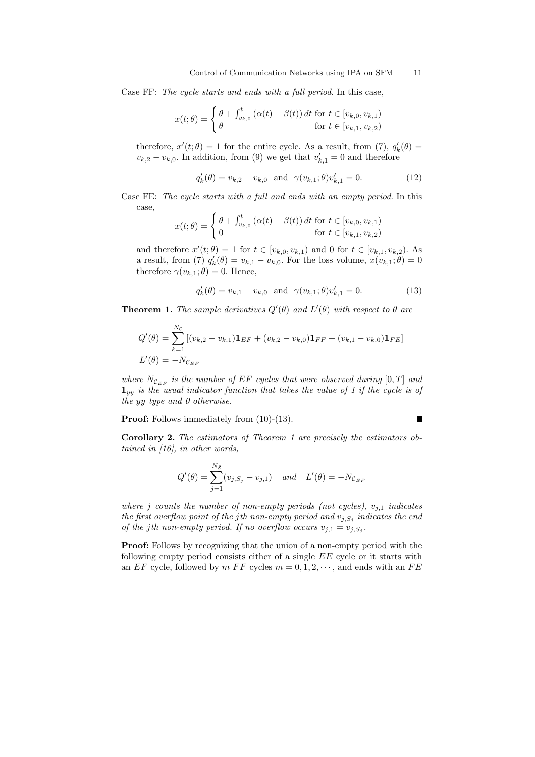Case FF: The cycle starts and ends with a full period. In this case,

$$
x(t; \theta) = \begin{cases} \theta + \int_{v_{k,0}}^t (\alpha(t) - \beta(t)) dt \text{ for } t \in [v_{k,0}, v_{k,1})\\ \theta \text{ for } t \in [v_{k,1}, v_{k,2}) \end{cases}
$$

therefore,  $x'(t; \theta) = 1$  for the entire cycle. As a result, from (7),  $q'_{k}(\theta) =$  $v_{k,2} - v_{k,0}$ . In addition, from (9) we get that  $v'_{k,1} = 0$  and therefore

$$
q'_{k}(\theta) = v_{k,2} - v_{k,0} \text{ and } \gamma(v_{k,1};\theta)v'_{k,1} = 0.
$$
 (12)

Case FE: The cycle starts with a full and ends with an empty period. In this case,

$$
x(t; \theta) = \begin{cases} \theta + \int_{v_{k,0}}^t (\alpha(t) - \beta(t)) dt & \text{for } t \in [v_{k,0}, v_{k,1}) \\ 0 & \text{for } t \in [v_{k,1}, v_{k,2}) \end{cases}
$$

and therefore  $x'(t; \theta) = 1$  for  $t \in [v_{k,0}, v_{k,1})$  and 0 for  $t \in [v_{k,1}, v_{k,2})$ . As a result, from (7)  $q'_k(\theta) = v_{k,1} - v_{k,0}$ . For the loss volume,  $x(v_{k,1}; \theta) = 0$ therefore  $\gamma(v_{k,1}; \theta) = 0$ . Hence,

$$
q'_k(\theta) = v_{k,1} - v_{k,0} \text{ and } \gamma(v_{k,1};\theta)v'_{k,1} = 0.
$$
 (13)

**Theorem 1.** The sample derivatives  $Q'(\theta)$  and  $L'(\theta)$  with respect to  $\theta$  are

$$
Q'(\theta) = \sum_{k=1}^{N_C} [(v_{k,2} - v_{k,1}) \mathbf{1}_{EF} + (v_{k,2} - v_{k,0}) \mathbf{1}_{FF} + (v_{k,1} - v_{k,0}) \mathbf{1}_{FE}]
$$
  

$$
L'(\theta) = -N_{C_{EF}}
$$

where  $N_{C_{EF}}$  is the number of EF cycles that were observed during  $[0, T]$  and  $1_{yy}$  is the usual indicator function that takes the value of 1 if the cycle is of the yy type and 0 otherwise.

Proof: Follows immediately from  $(10)-(13)$ .

Corollary 2. The estimators of Theorem 1 are precisely the estimators obtained in 
$$
[16]
$$
, in other words,

$$
Q'(\theta) = \sum_{j=1}^{N_{\mathcal{E}}} (v_{j,S_j} - v_{j,1})
$$
 and  $L'(\theta) = -N_{C_{EF}}$ 

where j counts the number of non-empty periods (not cycles),  $v_{j,1}$  indicates the first overflow point of the jth non-empty period and  $v_{j,S_j}$  indicates the end of the jth non-empty period. If no overflow occurs  $v_{j,1} = v_{j,S_j}$ .

Proof: Follows by recognizing that the union of a non-empty period with the following empty period consists either of a single EE cycle or it starts with an EF cycle, followed by  $m$  FF cycles  $m = 0, 1, 2, \dots$ , and ends with an FE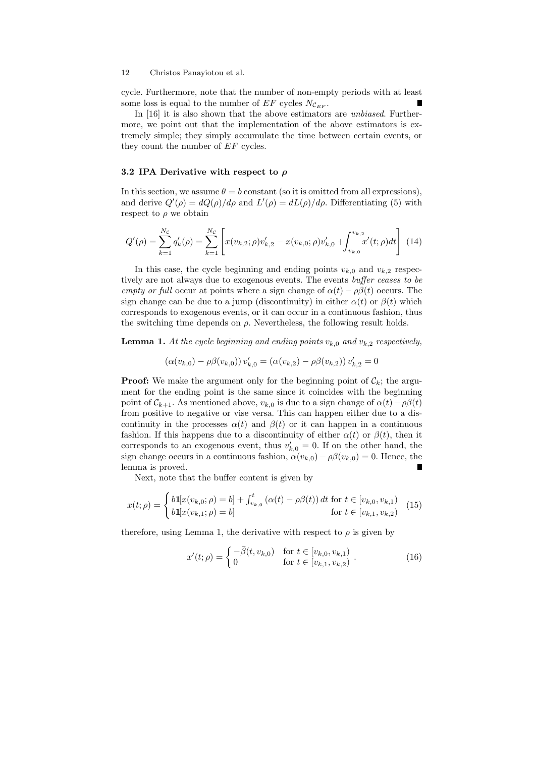cycle. Furthermore, note that the number of non-empty periods with at least some loss is equal to the number of  $EF$  cycles  $N_{C_{EF}}$ .

In [16] it is also shown that the above estimators are *unbiased*. Furthermore, we point out that the implementation of the above estimators is extremely simple; they simply accumulate the time between certain events, or they count the number of EF cycles.

#### 3.2 IPA Derivative with respect to  $\rho$

In this section, we assume  $\theta = b$  constant (so it is omitted from all expressions), and derive  $Q'(\rho) = dQ(\rho)/d\rho$  and  $L'(\rho) = dL(\rho)/d\rho$ . Differentiating (5) with respect to  $\rho$  we obtain

$$
Q'(\rho) = \sum_{k=1}^{N_C} q'_k(\rho) = \sum_{k=1}^{N_C} \left[ x(v_{k,2}; \rho) v'_{k,2} - x(v_{k,0}; \rho) v'_{k,0} + \int_{v_{k,0}}^{v_{k,2}} x'(t; \rho) dt \right]
$$
(14)

In this case, the cycle beginning and ending points  $v_{k,0}$  and  $v_{k,2}$  respectively are not always due to exogenous events. The events buffer ceases to be empty or full occur at points where a sign change of  $\alpha(t) - \rho\beta(t)$  occurs. The sign change can be due to a jump (discontinuity) in either  $\alpha(t)$  or  $\beta(t)$  which corresponds to exogenous events, or it can occur in a continuous fashion, thus the switching time depends on  $\rho$ . Nevertheless, the following result holds.

**Lemma 1.** At the cycle beginning and ending points  $v_{k,0}$  and  $v_{k,2}$  respectively,

$$
(\alpha(v_{k,0}) - \rho \beta(v_{k,0})) v'_{k,0} = (\alpha(v_{k,2}) - \rho \beta(v_{k,2})) v'_{k,2} = 0
$$

**Proof:** We make the argument only for the beginning point of  $\mathcal{C}_k$ ; the argument for the ending point is the same since it coincides with the beginning point of  $\mathcal{C}_{k+1}$ . As mentioned above,  $v_{k,0}$  is due to a sign change of  $\alpha(t)-\rho\beta(t)$ from positive to negative or vise versa. This can happen either due to a discontinuity in the processes  $\alpha(t)$  and  $\beta(t)$  or it can happen in a continuous fashion. If this happens due to a discontinuity of either  $\alpha(t)$  or  $\beta(t)$ , then it corresponds to an exogenous event, thus  $v'_{k,0} = 0$ . If on the other hand, the sign change occurs in a continuous fashion,  $\alpha(v_{k,0}) - \rho\beta(v_{k,0}) = 0$ . Hence, the lemma is proved.

Next, note that the buffer content is given by

$$
x(t; \rho) = \begin{cases} b \mathbf{1}[x(v_{k,0}; \rho) = b] + \int_{v_{k,0}}^t (\alpha(t) - \rho \beta(t)) dt \text{ for } t \in [v_{k,0}, v_{k,1}) \\ b \mathbf{1}[x(v_{k,1}; \rho) = b] \text{ for } t \in [v_{k,1}, v_{k,2}) \end{cases}
$$
(15)

therefore, using Lemma 1, the derivative with respect to  $\rho$  is given by

$$
x'(t; \rho) = \begin{cases} -\bar{\beta}(t, v_{k,0}) & \text{for } t \in [v_{k,0}, v_{k,1}) \\ 0 & \text{for } t \in [v_{k,1}, v_{k,2}) \end{cases} .
$$
 (16)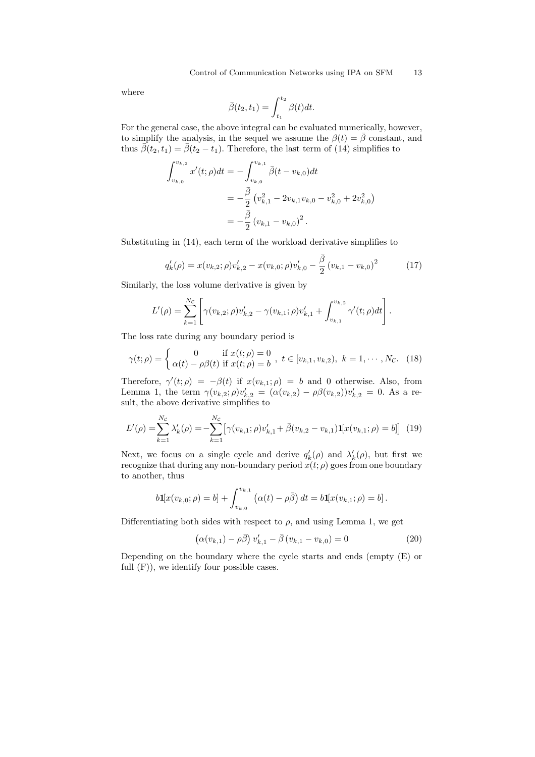where

$$
\bar{\beta}(t_2, t_1) = \int_{t_1}^{t_2} \beta(t)dt.
$$

For the general case, the above integral can be evaluated numerically, however, to simplify the analysis, in the sequel we assume the  $\beta(t) = \overline{\beta}$  constant, and thus  $\bar{\beta}(t_2, t_1) = \bar{\beta}(t_2 - t_1)$ . Therefore, the last term of (14) simplifies to

$$
\int_{v_{k,0}}^{v_{k,2}} x'(t; \rho) dt = -\int_{v_{k,0}}^{v_{k,1}} \bar{\beta}(t - v_{k,0}) dt
$$
  
=  $-\frac{\bar{\beta}}{2} (v_{k,1}^2 - 2v_{k,1}v_{k,0} - v_{k,0}^2 + 2v_{k,0}^2)$   
=  $-\frac{\bar{\beta}}{2} (v_{k,1} - v_{k,0})^2$ .

Substituting in (14), each term of the workload derivative simplifies to

$$
q'_{k}(\rho) = x(v_{k,2}; \rho)v'_{k,2} - x(v_{k,0}; \rho)v'_{k,0} - \frac{\bar{\beta}}{2}(v_{k,1} - v_{k,0})^{2}
$$
 (17)

Similarly, the loss volume derivative is given by

$$
L'(\rho) = \sum_{k=1}^{N_C} \left[ \gamma(v_{k,2}; \rho) v'_{k,2} - \gamma(v_{k,1}; \rho) v'_{k,1} + \int_{v_{k,1}}^{v_{k,2}} \gamma'(t; \rho) dt \right].
$$

The loss rate during any boundary period is

$$
\gamma(t; \rho) = \begin{cases} 0 & \text{if } x(t; \rho) = 0 \\ \alpha(t) - \rho \beta(t) & \text{if } x(t; \rho) = b \end{cases}, t \in [v_{k,1}, v_{k,2}), k = 1, \cdots, N_{\mathcal{C}}. (18)
$$

Therefore,  $\gamma'(t; \rho) = -\beta(t)$  if  $x(v_{k,1}; \rho) = b$  and 0 otherwise. Also, from Lemma 1, the term  $\gamma(v_{k,2}; \rho)v'_{k,2} = (\alpha(v_{k,2}) - \rho\beta(v_{k,2}))v'_{k,2} = 0$ . As a result, the above derivative simplifies to

$$
L'(\rho) = \sum_{k=1}^{N_C} \lambda'_k(\rho) = -\sum_{k=1}^{N_C} \left[ \gamma(v_{k,1}; \rho) v'_{k,1} + \bar{\beta}(v_{k,2} - v_{k,1}) \mathbf{1}[x(v_{k,1}; \rho) = b] \right]
$$
(19)

Next, we focus on a single cycle and derive  $q'_k(\rho)$  and  $\lambda'_k(\rho)$ , but first we recognize that during any non-boundary period  $x(t; \rho)$  goes from one boundary to another, thus

$$
b1[x(v_{k,0}; \rho) = b] + \int_{v_{k,0}}^{v_{k,1}} (\alpha(t) - \rho \overline{\beta}) dt = b1[x(v_{k,1}; \rho) = b].
$$

Differentiating both sides with respect to  $\rho$ , and using Lemma 1, we get

$$
(\alpha(v_{k,1}) - \rho \bar{\beta}) v'_{k,1} - \bar{\beta}(v_{k,1} - v_{k,0}) = 0
$$
\n(20)

Depending on the boundary where the cycle starts and ends (empty (E) or full  $(F)$ , we identify four possible cases.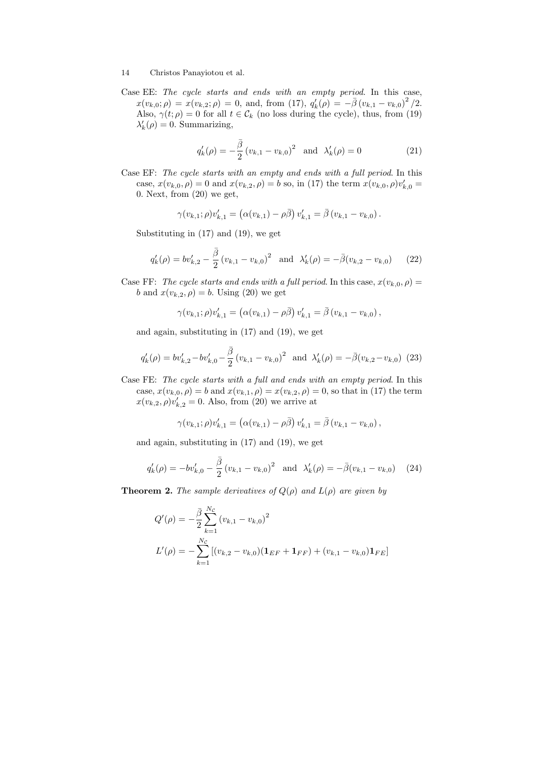Case EE: The cycle starts and ends with an empty period. In this case,  $x(v_{k,0}; \rho) = x(v_{k,2}; \rho) = 0$ , and, from (17),  $q'_{k}(\rho) = -\bar{\beta}(v_{k,1} - v_{k,0})^2/2$ . Also,  $\gamma(t; \rho) = 0$  for all  $t \in C_k$  (no loss during the cycle), thus, from (19)  $\lambda'_k(\rho) = 0$ . Summarizing,

$$
q'_{k}(\rho) = -\frac{\bar{\beta}}{2} (v_{k,1} - v_{k,0})^2 \text{ and } \lambda'_{k}(\rho) = 0
$$
 (21)

Case EF: The cycle starts with an empty and ends with a full period. In this case,  $x(v_{k,0}, \rho) = 0$  and  $x(v_{k,2}, \rho) = b$  so, in (17) the term  $x(v_{k,0}, \rho)v'_{k,0} =$ 0. Next, from (20) we get,

$$
\gamma(v_{k,1};\rho)v'_{k,1} = (\alpha(v_{k,1}) - \rho\overline{\beta})v'_{k,1} = \overline{\beta}(v_{k,1} - v_{k,0}).
$$

Substituting in (17) and (19), we get

$$
q'_{k}(\rho) = bv'_{k,2} - \frac{\bar{\beta}}{2} (v_{k,1} - v_{k,0})^2 \text{ and } \lambda'_{k}(\rho) = -\bar{\beta}(v_{k,2} - v_{k,0})
$$
 (22)

Case FF: The cycle starts and ends with a full period. In this case,  $x(v_{k,0}, \rho) =$ b and  $x(v_{k,2}, \rho) = b$ . Using (20) we get

$$
\gamma(v_{k,1};\rho)v'_{k,1} = (\alpha(v_{k,1}) - \rho\overline{\beta})v'_{k,1} = \overline{\beta}(v_{k,1} - v_{k,0}),
$$

and again, substituting in (17) and (19), we get

$$
q'_{k}(\rho) = bv'_{k,2} - bv'_{k,0} - \frac{\bar{\beta}}{2} (v_{k,1} - v_{k,0})^2 \text{ and } \lambda'_{k}(\rho) = -\bar{\beta}(v_{k,2} - v_{k,0})
$$
 (23)

Case FE: The cycle starts with a full and ends with an empty period. In this case,  $x(v_{k,0}, \rho) = b$  and  $x(v_{k,1}, \rho) = x(v_{k,2}, \rho) = 0$ , so that in (17) the term  $x(v_{k,2}, \rho)v'_{k,2} = 0$ . Also, from (20) we arrive at

$$
\gamma(v_{k,1};\rho)v'_{k,1} = (\alpha(v_{k,1}) - \rho\overline{\beta})v'_{k,1} = \overline{\beta}(v_{k,1} - v_{k,0}),
$$

and again, substituting in (17) and (19), we get

$$
q'_{k}(\rho) = -bv'_{k,0} - \frac{\bar{\beta}}{2} (v_{k,1} - v_{k,0})^2 \text{ and } \lambda'_{k}(\rho) = -\bar{\beta}(v_{k,1} - v_{k,0}) \quad (24)
$$

**Theorem 2.** The sample derivatives of  $Q(\rho)$  and  $L(\rho)$  are given by

$$
Q'(\rho) = -\frac{\bar{\beta}}{2} \sum_{k=1}^{N_C} (v_{k,1} - v_{k,0})^2
$$
  

$$
L'(\rho) = -\sum_{k=1}^{N_C} [(v_{k,2} - v_{k,0})(\mathbf{1}_{EF} + \mathbf{1}_{FF}) + (v_{k,1} - v_{k,0})\mathbf{1}_{FE}]
$$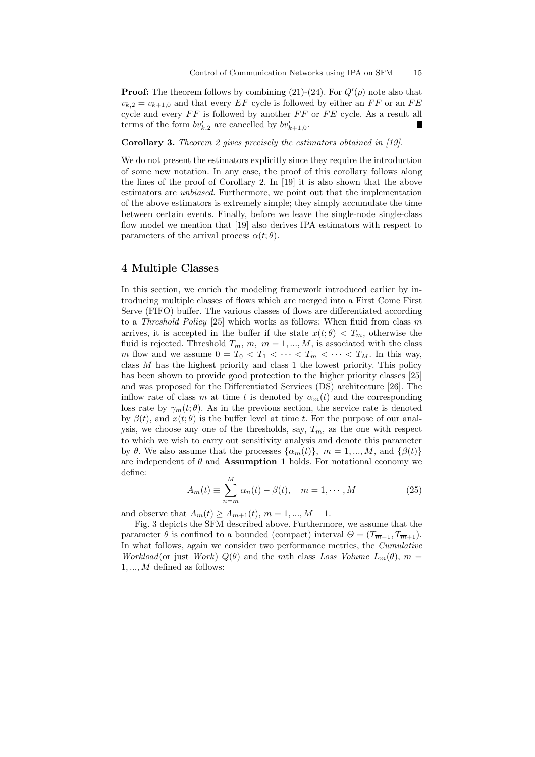**Proof:** The theorem follows by combining (21)-(24). For  $Q'(\rho)$  note also that  $v_{k,2} = v_{k+1,0}$  and that every EF cycle is followed by either an FF or an FE cycle and every  $FF$  is followed by another  $FF$  or  $FE$  cycle. As a result all terms of the form  $bv'_{k,2}$  are cancelled by  $bv'_{k+1,0}$ . п

Corollary 3. Theorem 2 gives precisely the estimators obtained in [19].

We do not present the estimators explicitly since they require the introduction of some new notation. In any case, the proof of this corollary follows along the lines of the proof of Corollary 2. In [19] it is also shown that the above estimators are unbiased. Furthermore, we point out that the implementation of the above estimators is extremely simple; they simply accumulate the time between certain events. Finally, before we leave the single-node single-class flow model we mention that [19] also derives IPA estimators with respect to parameters of the arrival process  $\alpha(t; \theta)$ .

# 4 Multiple Classes

In this section, we enrich the modeling framework introduced earlier by introducing multiple classes of flows which are merged into a First Come First Serve (FIFO) buffer. The various classes of flows are differentiated according to a Threshold Policy [25] which works as follows: When fluid from class  $m$ arrives, it is accepted in the buffer if the state  $x(t; \theta) < T_m$ , otherwise the fluid is rejected. Threshold  $T_m$ ,  $m$ ,  $m = 1, ..., M$ , is associated with the class m flow and we assume  $0 = T_0 < T_1 < \cdots < T_m < \cdots < T_M$ . In this way, class M has the highest priority and class 1 the lowest priority. This policy has been shown to provide good protection to the higher priority classes [25] and was proposed for the Differentiated Services (DS) architecture [26]. The inflow rate of class m at time t is denoted by  $\alpha_m(t)$  and the corresponding loss rate by  $\gamma_m(t;\theta)$ . As in the previous section, the service rate is denoted by  $\beta(t)$ , and  $x(t; \theta)$  is the buffer level at time t. For the purpose of our analysis, we choose any one of the thresholds, say,  $T_{\overline{m}}$ , as the one with respect to which we wish to carry out sensitivity analysis and denote this parameter by  $\theta$ . We also assume that the processes  $\{\alpha_m(t)\}\,$ ,  $m=1,\dots,M$ , and  $\{\beta(t)\}\,$ are independent of  $\theta$  and **Assumption 1** holds. For notational economy we define:

$$
A_m(t) \equiv \sum_{n=m}^{M} \alpha_n(t) - \beta(t), \quad m = 1, \cdots, M
$$
 (25)

and observe that  $A_m(t) \geq A_{m+1}(t)$ ,  $m = 1, ..., M - 1$ .

Fig. 3 depicts the SFM described above. Furthermore, we assume that the parameter  $\theta$  is confined to a bounded (compact) interval  $\Theta = (T_{\overline{m}-1}, T_{\overline{m}+1}).$ In what follows, again we consider two performance metrics, the Cumulative Workload(or just Work)  $Q(\theta)$  and the mth class Loss Volume  $L_m(\theta)$ ,  $m =$  $1, \ldots, M$  defined as follows: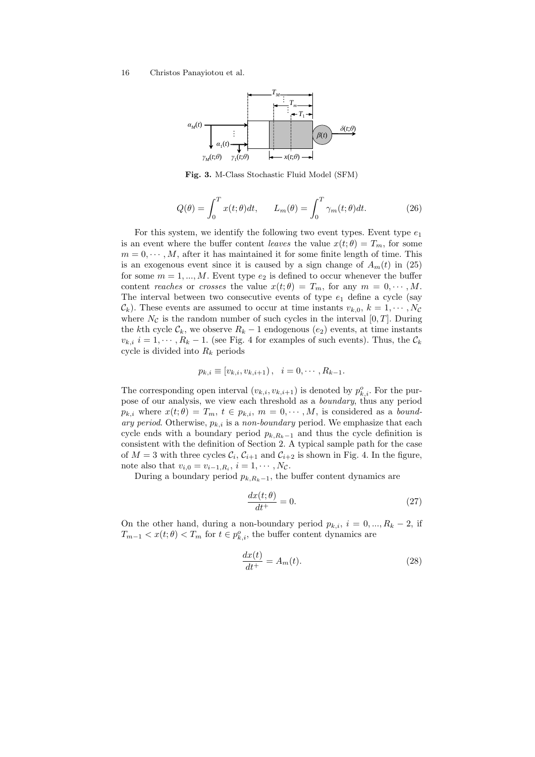

Fig. 3. M-Class Stochastic Fluid Model (SFM)

$$
Q(\theta) = \int_0^T x(t; \theta) dt, \qquad L_m(\theta) = \int_0^T \gamma_m(t; \theta) dt.
$$
 (26)

For this system, we identify the following two event types. Event type  $e_1$ is an event where the buffer content leaves the value  $x(t; \theta) = T_m$ , for some  $m = 0, \dots, M$ , after it has maintained it for some finite length of time. This is an exogenous event since it is caused by a sign change of  $A<sub>m</sub>(t)$  in (25) for some  $m = 1, ..., M$ . Event type  $e_2$  is defined to occur whenever the buffer content reaches or crosses the value  $x(t; \theta) = T_m$ , for any  $m = 0, \dots, M$ . The interval between two consecutive events of type  $e_1$  define a cycle (say  $\mathcal{C}_k$ ). These events are assumed to occur at time instants  $v_{k,0}, k = 1, \cdots, N_{\mathcal{C}}$ where  $N_c$  is the random number of such cycles in the interval  $[0, T]$ . During the kth cycle  $\mathcal{C}_k$ , we observe  $R_k - 1$  endogenous  $(e_2)$  events, at time instants  $v_{k,i}$  i = 1,  $\cdots$ ,  $R_k$  – 1. (see Fig. 4 for examples of such events). Thus, the  $\mathcal{C}_k$ cycle is divided into  $R_k$  periods

$$
p_{k,i} \equiv [v_{k,i}, v_{k,i+1}), \quad i = 0, \cdots, R_{k-1}.
$$

The corresponding open interval  $(v_{k,i}, v_{k,i+1})$  is denoted by  $p_{k,i}^o$ . For the purpose of our analysis, we view each threshold as a boundary, thus any period  $p_{k,i}$  where  $x(t; \theta) = T_m$ ,  $t \in p_{k,i}$ ,  $m = 0, \dots, M$ , is considered as a *bound*ary period. Otherwise,  $p_{k,i}$  is a non-boundary period. We emphasize that each cycle ends with a boundary period  $p_{k,R_k-1}$  and thus the cycle definition is consistent with the definition of Section 2. A typical sample path for the case of  $M = 3$  with three cycles  $C_i$ ,  $C_{i+1}$  and  $C_{i+2}$  is shown in Fig. 4. In the figure, note also that  $v_{i,0} = v_{i-1,R_i}, i = 1, \cdots, N_c.$ 

During a boundary period  $p_{k,R_k-1}$ , the buffer content dynamics are

$$
\frac{dx(t; \theta)}{dt^+} = 0.\t(27)
$$

On the other hand, during a non-boundary period  $p_{k,i}$ ,  $i = 0, ..., R_k - 2$ , if  $T_{m-1} < x(t; \theta) < T_m$  for  $t \in p_{k,i}^o$ , the buffer content dynamics are

$$
\frac{dx(t)}{dt^+} = A_m(t). \tag{28}
$$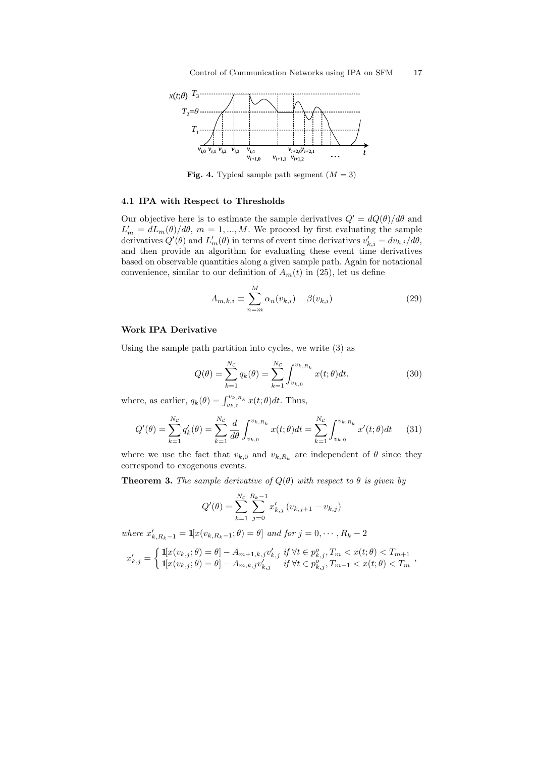

Fig. 4. Typical sample path segment  $(M = 3)$ 

#### 4.1 IPA with Respect to Thresholds

Our objective here is to estimate the sample derivatives  $Q' = dQ(\theta)/d\theta$  and  $L'_m = dL_m(\theta)/d\theta$ ,  $m = 1, ..., M$ . We proceed by first evaluating the sample derivatives  $Q'(\theta)$  and  $L'_{m}(\theta)$  in terms of event time derivatives  $v'_{k,i} = dv_{k,i}/d\theta$ , and then provide an algorithm for evaluating these event time derivatives based on observable quantities along a given sample path. Again for notational convenience, similar to our definition of  $A_m(t)$  in (25), let us define

$$
A_{m,k,i} \equiv \sum_{n=m}^{M} \alpha_n(v_{k,i}) - \beta(v_{k,i})
$$
\n(29)

#### Work IPA Derivative

Using the sample path partition into cycles, we write (3) as

$$
Q(\theta) = \sum_{k=1}^{N_C} q_k(\theta) = \sum_{k=1}^{N_C} \int_{v_{k,0}}^{v_{k,R_k}} x(t;\theta)dt.
$$
 (30)

where, as earlier,  $q_k(\theta) = \int_{v_{k,0}}^{v_{k,R_k}} x(t;\theta) dt$ . Thus,

$$
Q'(\theta) = \sum_{k=1}^{N_C} q'_k(\theta) = \sum_{k=1}^{N_C} \frac{d}{d\theta} \int_{v_{k,0}}^{v_{k,R_k}} x(t;\theta)dt = \sum_{k=1}^{N_C} \int_{v_{k,0}}^{v_{k,R_k}} x'(t;\theta)dt
$$
 (31)

where we use the fact that  $v_{k,0}$  and  $v_{k,R_k}$  are independent of  $\theta$  since they correspond to exogenous events.

**Theorem 3.** The sample derivative of  $Q(\theta)$  with respect to  $\theta$  is given by

$$
Q'(\theta) = \sum_{k=1}^{N_C} \sum_{j=0}^{R_k - 1} x'_{k,j} \left( v_{k,j+1} - v_{k,j} \right)
$$

where  $x'_{k,R_k-1} = \mathbf{1}[x(v_{k,R_k-1}; \theta) = \theta]$  and for  $j = 0, \dots, R_k - 2$ 

$$
x'_{k,j} = \begin{cases} \mathbf{1}[x(v_{k,j};\theta) = \theta] - A_{m+1,k,j}v'_{k,j} & \text{if } \forall t \in p^o_{k,j}, T_m < x(t;\theta) < T_{m+1} \\ \mathbf{1}[x(v_{k,j};\theta) = \theta] - A_{m,k,j}v'_{k,j} & \text{if } \forall t \in p^o_{k,j}, T_{m-1} < x(t;\theta) < T_m \end{cases}
$$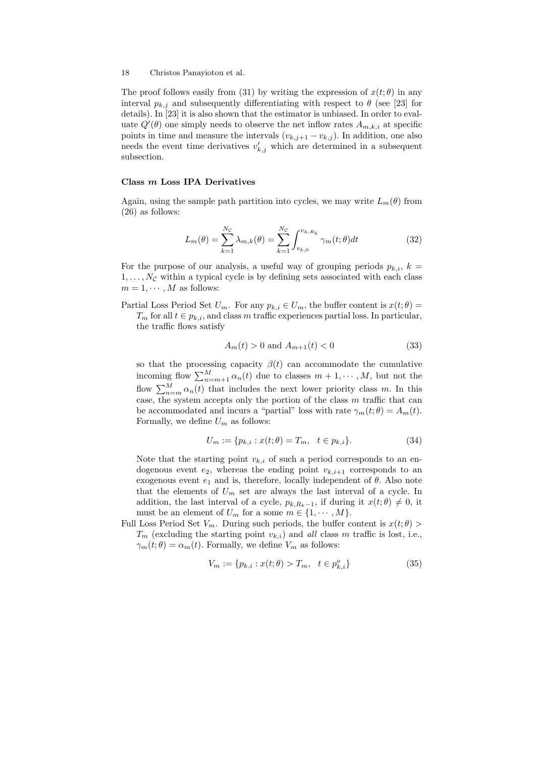The proof follows easily from (31) by writing the expression of  $x(t; \theta)$  in any interval  $p_{k,i}$  and subsequently differentiating with respect to  $\theta$  (see [23] for details). In [23] it is also shown that the estimator is unbiased. In order to evaluate  $Q'(\theta)$  one simply needs to observe the net inflow rates  $A_{m,k,i}$  at specific points in time and measure the intervals  $(v_{k,j+1} - v_{k,j})$ . In addition, one also needs the event time derivatives  $v'_{k,j}$  which are determined in a subsequent subsection.

# Class m Loss IPA Derivatives

Again, using the sample path partition into cycles, we may write  $L_m(\theta)$  from (26) as follows:

$$
L_m(\theta) = \sum_{k=1}^{N_C} \lambda_{m,k}(\theta) = \sum_{k=1}^{N_C} \int_{v_{k,0}}^{v_{k,R_k}} \gamma_m(t;\theta) dt
$$
 (32)

For the purpose of our analysis, a useful way of grouping periods  $p_{k,i}$ ,  $k =$  $1, \ldots, N_c$  within a typical cycle is by defining sets associated with each class  $m = 1, \cdots, M$  as follows:

Partial Loss Period Set  $U_m$ . For any  $p_{k,i} \in U_m$ , the buffer content is  $x(t; \theta) =$  $T_m$  for all  $t \in p_{k,i}$ , and class m traffic experiences partial loss. In particular, the traffic flows satisfy

$$
A_m(t) > 0 \text{ and } A_{m+1}(t) < 0 \tag{33}
$$

so that the processing capacity  $\beta(t)$  can accommodate the cumulative incoming flow  $\sum_{n=m+1}^{M} \alpha_n(t)$  due to classes  $m+1, \dots, M$ , but not the flow  $\sum_{n=m}^{M} \alpha_n(t)$  that includes the next lower priority class m. In this case, the system accepts only the portion of the class  $m$  traffic that can be accommodated and incurs a "partial" loss with rate  $\gamma_m(t;\theta) = A_m(t)$ . Formally, we define  $U_m$  as follows:

$$
U_m := \{ p_{k,i} : x(t; \theta) = T_m, \ t \in p_{k,i} \}.
$$
\n(34)

Note that the starting point  $v_{k,i}$  of such a period corresponds to an endogenous event  $e_2$ , whereas the ending point  $v_{k,i+1}$  corresponds to an exogenous event  $e_1$  and is, therefore, locally independent of  $\theta$ . Also note that the elements of  $U_m$  set are always the last interval of a cycle. In addition, the last interval of a cycle,  $p_{k,R_k-1}$ , if during it  $x(t; \theta) \neq 0$ , it must be an element of  $U_m$  for a some  $m \in \{1, \dots, M\}.$ 

Full Loss Period Set  $V_m$ . During such periods, the buffer content is  $x(t; \theta)$  $T_m$  (excluding the starting point  $v_{k,i}$ ) and all class m traffic is lost, i.e.,  $\gamma_m(t;\theta) = \alpha_m(t)$ . Formally, we define  $V_m$  as follows:

$$
V_m := \{ p_{k,i} : x(t; \theta) > T_m, \ t \in p_{k,i}^o \}
$$
\n(35)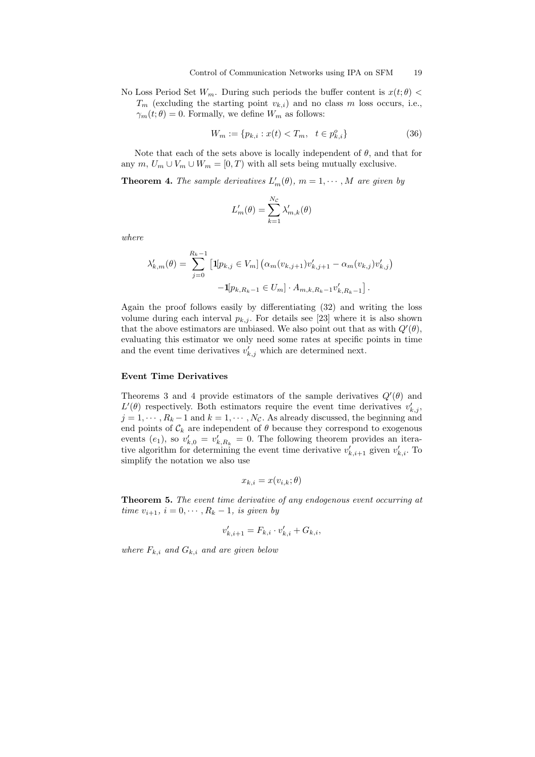No Loss Period Set  $W_m$ . During such periods the buffer content is  $x(t; \theta)$  <  $T_m$  (excluding the starting point  $v_{k,i}$ ) and no class m loss occurs, i.e.,  $\gamma_m(t; \theta) = 0$ . Formally, we define  $W_m$  as follows:

$$
W_m := \{ p_{k,i} : x(t) < T_m, \ t \in p_{k,i}^o \} \tag{36}
$$

Note that each of the sets above is locally independent of  $\theta$ , and that for any  $m, U_m \cup V_m \cup W_m = [0, T)$  with all sets being mutually exclusive.

**Theorem 4.** The sample derivatives  $L'_m(\theta)$ ,  $m = 1, \dots, M$  are given by

$$
L'_{m}(\theta) = \sum_{k=1}^{N_C} \lambda'_{m,k}(\theta)
$$

where

$$
\lambda'_{k,m}(\theta) = \sum_{j=0}^{R_k - 1} \left[ \mathbf{1}[p_{k,j} \in V_m] \left( \alpha_m(v_{k,j+1}) v'_{k,j+1} - \alpha_m(v_{k,j}) v'_{k,j} \right) - \mathbf{1}[p_{k,R_k-1} \in U_m] \cdot A_{m,k,R_k-1} v'_{k,R_k-1} \right].
$$

Again the proof follows easily by differentiating (32) and writing the loss volume during each interval  $p_{k,j}$ . For details see [23] where it is also shown that the above estimators are unbiased. We also point out that as with  $Q'(\theta)$ , evaluating this estimator we only need some rates at specific points in time and the event time derivatives  $v'_{k,j}$  which are determined next.

#### Event Time Derivatives

Theorems 3 and 4 provide estimators of the sample derivatives  $Q'(\theta)$  and  $L'(\theta)$  respectively. Both estimators require the event time derivatives  $v'_{k,j}$ ,  $j = 1, \dots, R_k - 1$  and  $k = 1, \dots, N_c$ . As already discussed, the beginning and end points of  $\mathcal{C}_k$  are independent of  $\theta$  because they correspond to exogenous events (e<sub>1</sub>), so  $v'_{k,0} = v'_{k,R_k} = 0$ . The following theorem provides an iterative algorithm for determining the event time derivative  $v'_{k,i+1}$  given  $v'_{k,i}$ . To simplify the notation we also use

$$
x_{k,i} = x(v_{i,k}; \theta)
$$

Theorem 5. The event time derivative of any endogenous event occurring at time  $v_{i+1}$ ,  $i = 0, \dots, R_k - 1$ , is given by

$$
v'_{k,i+1} = F_{k,i} \cdot v'_{k,i} + G_{k,i},
$$

where  $F_{k,i}$  and  $G_{k,i}$  and are given below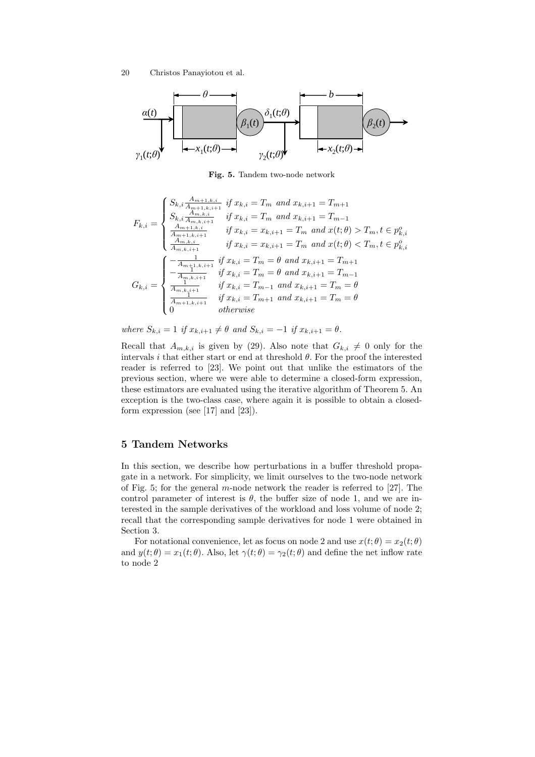

Fig. 5. Tandem two-node network

$$
F_{k,i} = \begin{cases} S_{k,i} \frac{A_{m+1,k,i}}{A_{m+1,k,i+1}} & \text{if } x_{k,i} = T_m \text{ and } x_{k,i+1} = T_{m+1} \\ S_{k,i} \frac{A_{m,k,i}}{A_{m,k,i+1}} & \text{if } x_{k,i} = T_m \text{ and } x_{k,i+1} = T_{m-1} \\ \frac{A_{m+1,k,i}}{A_{m+1,k,i+1}} & \text{if } x_{k,i} = x_{k,i+1} = T_m \text{ and } x(t;\theta) > T_m, t \in p_{k,i}^o \\ \frac{A_{m,k,i}}{A_{m,k,i+1}} & \text{if } x_{k,i} = x_{k,i+1} = T_m \text{ and } x(t;\theta) < T_m, t \in p_{k,i}^o \\ \frac{-1}{A_{m+1,k,i+1}} & \text{if } x_{k,i} = T_m = \theta \text{ and } x_{k,i+1} = T_{m+1} \\ -\frac{1}{A_{m,k,i+1}} & \text{if } x_{k,i} = T_m = \theta \text{ and } x_{k,i+1} = T_{m-1} \\ \frac{1}{A_{m,k,i+1}} & \text{if } x_{k,i} = T_{m-1} \text{ and } x_{k,i+1} = T_m = \theta \\ \frac{1}{A_{m+1,k,i+1}} & \text{if } x_{k,i} = T_{m+1} \text{ and } x_{k,i+1} = T_m = \theta \\ 0 & \text{otherwise} \end{cases}
$$

where  $S_{k,i} = 1$  if  $x_{k,i+1} \neq \theta$  and  $S_{k,i} = -1$  if  $x_{k,i+1} = \theta$ .

Recall that  $A_{m,k,i}$  is given by (29). Also note that  $G_{k,i} \neq 0$  only for the intervals i that either start or end at threshold  $\theta$ . For the proof the interested reader is referred to [23]. We point out that unlike the estimators of the previous section, where we were able to determine a closed-form expression, these estimators are evaluated using the iterative algorithm of Theorem 5. An exception is the two-class case, where again it is possible to obtain a closedform expression (see [17] and [23]).

### 5 Tandem Networks

In this section, we describe how perturbations in a buffer threshold propagate in a network. For simplicity, we limit ourselves to the two-node network of Fig. 5; for the general m-node network the reader is referred to  $[27]$ . The control parameter of interest is  $\theta$ , the buffer size of node 1, and we are interested in the sample derivatives of the workload and loss volume of node 2; recall that the corresponding sample derivatives for node 1 were obtained in Section 3.

For notational convenience, let as focus on node 2 and use  $x(t; \theta) = x_2(t; \theta)$ and  $y(t; \theta) = x_1(t; \theta)$ . Also, let  $\gamma(t; \theta) = \gamma_2(t; \theta)$  and define the net inflow rate to node 2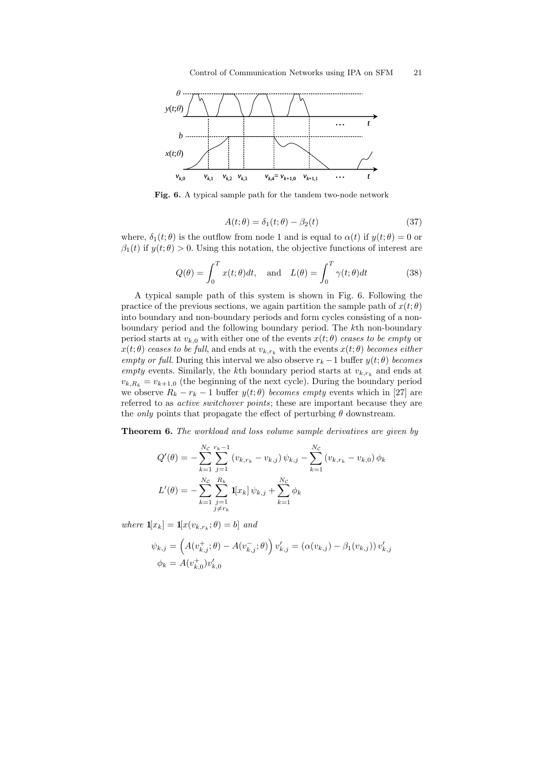

Fig. 6. A typical sample path for the tandem two-node network

$$
A(t; \theta) = \delta_1(t; \theta) - \beta_2(t) \tag{37}
$$

where,  $\delta_1(t;\theta)$  is the outflow from node 1 and is equal to  $\alpha(t)$  if  $y(t;\theta) = 0$  or  $\beta_1(t)$  if  $y(t; \theta) > 0$ . Using this notation, the objective functions of interest are

$$
Q(\theta) = \int_0^T x(t; \theta) dt, \text{ and } L(\theta) = \int_0^T \gamma(t; \theta) dt
$$
 (38)

A typical sample path of this system is shown in Fig. 6. Following the practice of the previous sections, we again partition the sample path of  $x(t; \theta)$ into boundary and non-boundary periods and form cycles consisting of a nonboundary period and the following boundary period. The kth non-boundary period starts at  $v_{k,0}$  with either one of the events  $x(t; \theta)$  ceases to be empty or  $x(t; \theta)$  ceases to be full, and ends at  $v_{k,r_k}$  with the events  $x(t; \theta)$  becomes either empty or full. During this interval we also observe  $r_k - 1$  buffer  $y(t; \theta)$  becomes empty events. Similarly, the k<sup>th</sup> boundary period starts at  $v_{k,r_k}$  and ends at  $v_{k,R_k} = v_{k+1,0}$  (the beginning of the next cycle). During the boundary period we observe  $R_k - r_k - 1$  buffer  $y(t; \theta)$  becomes empty events which in [27] are referred to as *active switchover points*; these are important because they are the *only* points that propagate the effect of perturbing  $\theta$  downstream.

Theorem 6. The workload and loss volume sample derivatives are given by

$$
Q'(\theta) = -\sum_{k=1}^{N_C} \sum_{j=1}^{r_k - 1} (v_{k,r_k} - v_{k,j}) \psi_{k,j} - \sum_{k=1}^{N_C} (v_{k,r_k} - v_{k,0}) \phi_k
$$
  

$$
L'(\theta) = -\sum_{k=1}^{N_C} \sum_{\substack{j=1 \ j \neq r_k}}^{R_k} \mathbf{1}[x_k] \psi_{k,j} + \sum_{k=1}^{N_C} \phi_k
$$

where  $\mathbf{1}[x_k] = \mathbf{1}[x(v_{k,r_k}; \theta) = b]$  and

$$
\psi_{k,j} = \left( A(v_{k,j}^+;\theta) - A(v_{k,j}^-;\theta) \right) v'_{k,j} = \left( \alpha(v_{k,j}) - \beta_1(v_{k,j}) \right) v'_{k,j}
$$

$$
\phi_k = A(v_{k,0}^+) v'_{k,0}
$$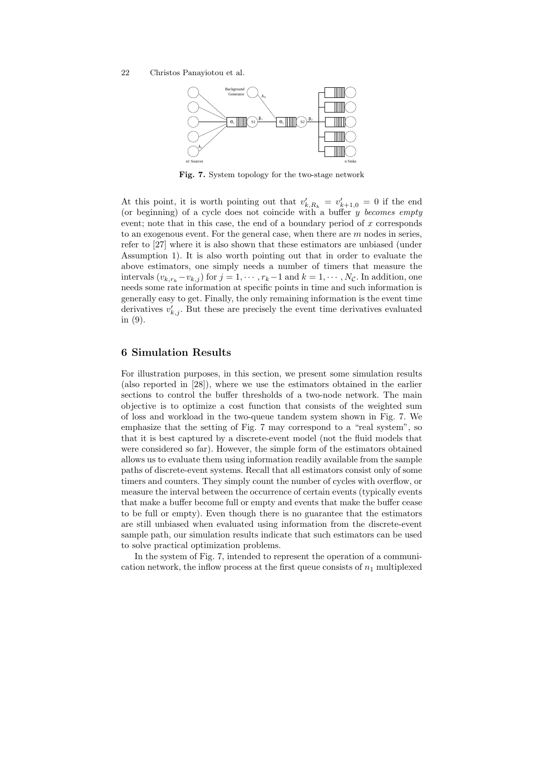

Fig. 7. System topology for the two-stage network

At this point, it is worth pointing out that  $v'_{k,R_k} = v'_{k+1,0} = 0$  if the end (or beginning) of a cycle does not coincide with a buffer  $y$  becomes empty event; note that in this case, the end of a boundary period of  $x$  corresponds to an exogenous event. For the general case, when there are  $m$  nodes in series, refer to [27] where it is also shown that these estimators are unbiased (under Assumption 1). It is also worth pointing out that in order to evaluate the above estimators, one simply needs a number of timers that measure the intervals  $(v_{k,r_k}-v_{k,j})$  for  $j=1,\cdots,r_k-1$  and  $k=1,\cdots,N_c$ . In addition, one needs some rate information at specific points in time and such information is generally easy to get. Finally, the only remaining information is the event time derivatives  $v'_{k,j}$ . But these are precisely the event time derivatives evaluated in (9).

# 6 Simulation Results

For illustration purposes, in this section, we present some simulation results (also reported in [28]), where we use the estimators obtained in the earlier sections to control the buffer thresholds of a two-node network. The main objective is to optimize a cost function that consists of the weighted sum of loss and workload in the two-queue tandem system shown in Fig. 7. We emphasize that the setting of Fig. 7 may correspond to a "real system", so that it is best captured by a discrete-event model (not the fluid models that were considered so far). However, the simple form of the estimators obtained allows us to evaluate them using information readily available from the sample paths of discrete-event systems. Recall that all estimators consist only of some timers and counters. They simply count the number of cycles with overflow, or measure the interval between the occurrence of certain events (typically events that make a buffer become full or empty and events that make the buffer cease to be full or empty). Even though there is no guarantee that the estimators are still unbiased when evaluated using information from the discrete-event sample path, our simulation results indicate that such estimators can be used to solve practical optimization problems.

In the system of Fig. 7, intended to represent the operation of a communication network, the inflow process at the first queue consists of  $n_1$  multiplexed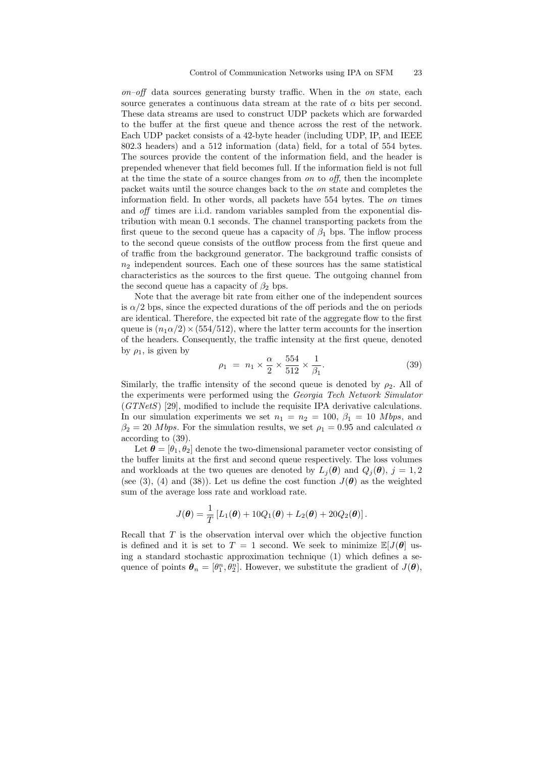$on-off$  data sources generating bursty traffic. When in the on state, each source generates a continuous data stream at the rate of  $\alpha$  bits per second. These data streams are used to construct UDP packets which are forwarded to the buffer at the first queue and thence across the rest of the network. Each UDP packet consists of a 42-byte header (including UDP, IP, and IEEE 802.3 headers) and a 512 information (data) field, for a total of 554 bytes. The sources provide the content of the information field, and the header is prepended whenever that field becomes full. If the information field is not full at the time the state of a source changes from on to off, then the incomplete packet waits until the source changes back to the on state and completes the information field. In other words, all packets have 554 bytes. The on times and off times are i.i.d. random variables sampled from the exponential distribution with mean 0.1 seconds. The channel transporting packets from the first queue to the second queue has a capacity of  $\beta_1$  bps. The inflow process to the second queue consists of the outflow process from the first queue and of traffic from the background generator. The background traffic consists of  $n<sub>2</sub>$  independent sources. Each one of these sources has the same statistical characteristics as the sources to the first queue. The outgoing channel from the second queue has a capacity of  $\beta_2$  bps.

Note that the average bit rate from either one of the independent sources is  $\alpha/2$  bps, since the expected durations of the off periods and the on periods are identical. Therefore, the expected bit rate of the aggregate flow to the first queue is  $(n_1\alpha/2) \times (554/512)$ , where the latter term accounts for the insertion of the headers. Consequently, the traffic intensity at the first queue, denoted by  $\rho_1$ , is given by

$$
\rho_1 = n_1 \times \frac{\alpha}{2} \times \frac{554}{512} \times \frac{1}{\beta_1}.\tag{39}
$$

Similarly, the traffic intensity of the second queue is denoted by  $\rho_2$ . All of the experiments were performed using the Georgia Tech Network Simulator  $(GTNetS)$  [29], modified to include the requisite IPA derivative calculations. In our simulation experiments we set  $n_1 = n_2 = 100$ ,  $\beta_1 = 10$  Mbps, and  $\beta_2 = 20$  Mbps. For the simulation results, we set  $\rho_1 = 0.95$  and calculated  $\alpha$ according to (39).

Let  $\theta = [\theta_1, \theta_2]$  denote the two-dimensional parameter vector consisting of the buffer limits at the first and second queue respectively. The loss volumes and workloads at the two queues are denoted by  $L_j(\theta)$  and  $Q_j(\theta)$ ,  $j = 1, 2$ (see (3), (4) and (38)). Let us define the cost function  $J(\theta)$  as the weighted sum of the average loss rate and workload rate.

$$
J(\boldsymbol{\theta}) = \frac{1}{T} \left[ L_1(\boldsymbol{\theta}) + 10 Q_1(\boldsymbol{\theta}) + L_2(\boldsymbol{\theta}) + 20 Q_2(\boldsymbol{\theta}) \right].
$$

Recall that  $T$  is the observation interval over which the objective function is defined and it is set to T = 1 second. We seek to minimize  $\mathbb{E}[J(\theta)]$  using a standard stochastic approximation technique (1) which defines a sequence of points  $\theta_n = [\theta_1^n, \theta_2^n]$ . However, we substitute the gradient of  $J(\theta)$ ,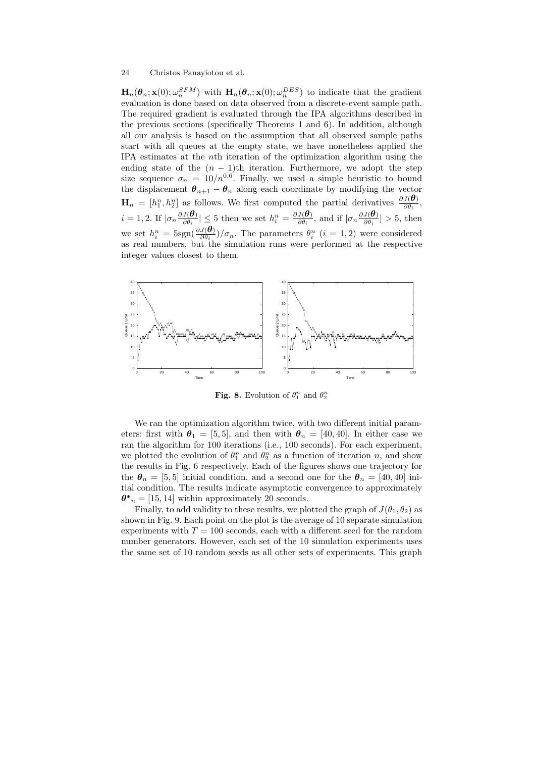$H_n(\theta_n; \mathbf{x}(0); \omega_n^{SFM})$  with  $H_n(\theta_n; \mathbf{x}(0); \omega_n^{DES})$  to indicate that the gradient evaluation is done based on data observed from a discrete-event sample path. The required gradient is evaluated through the IPA algorithms described in the previous sections (specifically Theorems 1 and 6). In addition, although all our analysis is based on the assumption that all observed sample paths start with all queues at the empty state, we have nonetheless applied the IPA estimates at the nth iteration of the optimization algorithm using the ending state of the  $(n - 1)$ th iteration. Furthermore, we adopt the step size sequence  $\sigma_n = 10/n^{0.6}$ . Finally, we used a simple heuristic to bound the displacement  $\theta_{n+1} - \theta_n$  along each coordinate by modifying the vector  $\mathbf{H}_n = [h_1^n, h_2^n]$  as follows. We first computed the partial derivatives  $\frac{\partial J(\boldsymbol{\theta})}{\partial \theta_i}$ ,  $\partial \theta_i$  $i=1,2.$  If  $|\sigma_n \frac{\partial J(\boldsymbol{\theta})}{\partial \theta_i}|$  $\frac{J(\boldsymbol{\theta})}{\partial \theta_i} \vert \leq 5$  then we set  $h_i^n = \frac{\partial J(\boldsymbol{\theta})}{\partial \theta_i}$  $\frac{J(\boldsymbol{\theta})}{\partial \theta_i}$ , and if  $|\sigma_n \frac{\partial J(\boldsymbol{\theta})}{\partial \theta_i}|$  $\frac{\partial(\mathbf{\Theta})}{\partial \theta_i}| > 5$ , then we set  $h_i^n = 5sgn(\frac{\partial J(\theta)}{\partial \theta_i})/\sigma_n$ . The parameters  $\theta_i^n$   $(i = 1, 2)$  were considered as real numbers, but the simulation runs were performed at the respective integer values closest to them.



Fig. 8. Evolution of  $\theta_1^n$  and  $\theta_2^n$ 

We ran the optimization algorithm twice, with two different initial parameters: first with  $\theta_1 = [5, 5]$ , and then with  $\theta_n = [40, 40]$ . In either case we ran the algorithm for 100 iterations (i.e., 100 seconds). For each experiment, we plotted the evolution of  $\theta_1^n$  and  $\theta_2^n$  as a function of iteration n, and show the results in Fig. 6 respectively. Each of the figures shows one trajectory for the  $\theta_n = [5, 5]$  initial condition, and a second one for the  $\theta_n = [40, 40]$  initial condition. The results indicate asymptotic convergence to approximately  $\theta^*_{n} = [15, 14]$  within approximately 20 seconds.

Finally, to add validity to these results, we plotted the graph of  $J(\theta_1, \theta_2)$  as shown in Fig. 9. Each point on the plot is the average of 10 separate simulation experiments with  $T = 100$  seconds, each with a different seed for the random number generators. However, each set of the 10 simulation experiments uses the same set of 10 random seeds as all other sets of experiments. This graph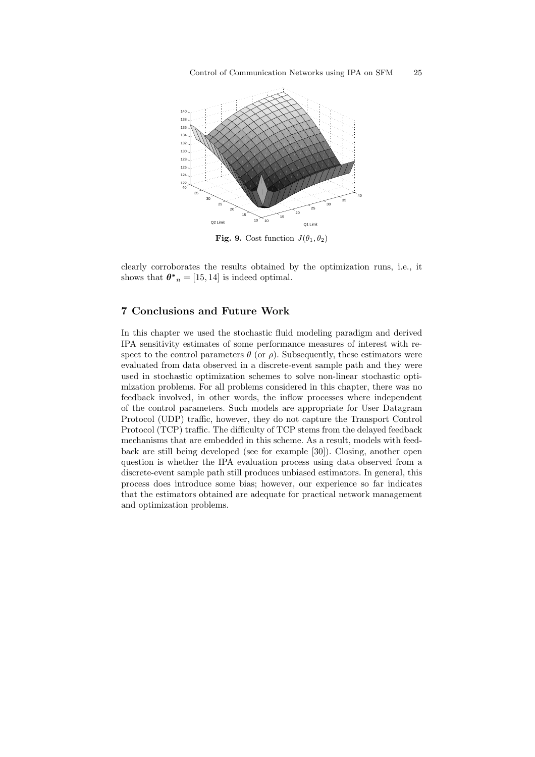

Fig. 9. Cost function  $J(\theta_1, \theta_2)$ 

clearly corroborates the results obtained by the optimization runs, i.e., it shows that  $\theta^*_{n} = [15, 14]$  is indeed optimal.

# 7 Conclusions and Future Work

In this chapter we used the stochastic fluid modeling paradigm and derived IPA sensitivity estimates of some performance measures of interest with respect to the control parameters  $\theta$  (or  $\rho$ ). Subsequently, these estimators were evaluated from data observed in a discrete-event sample path and they were used in stochastic optimization schemes to solve non-linear stochastic optimization problems. For all problems considered in this chapter, there was no feedback involved, in other words, the inflow processes where independent of the control parameters. Such models are appropriate for User Datagram Protocol (UDP) traffic, however, they do not capture the Transport Control Protocol (TCP) traffic. The difficulty of TCP stems from the delayed feedback mechanisms that are embedded in this scheme. As a result, models with feedback are still being developed (see for example [30]). Closing, another open question is whether the IPA evaluation process using data observed from a discrete-event sample path still produces unbiased estimators. In general, this process does introduce some bias; however, our experience so far indicates that the estimators obtained are adequate for practical network management and optimization problems.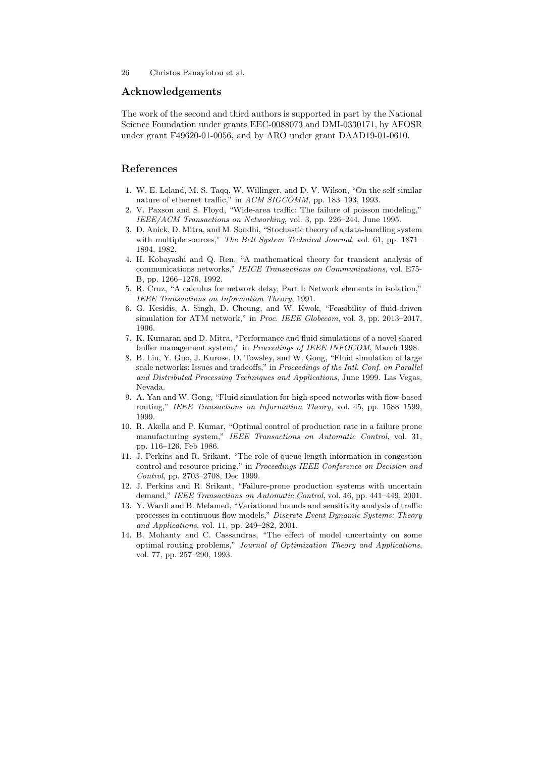#### Acknowledgements

The work of the second and third authors is supported in part by the National Science Foundation under grants EEC-0088073 and DMI-0330171, by AFOSR under grant F49620-01-0056, and by ARO under grant DAAD19-01-0610.

### References

- 1. W. E. Leland, M. S. Taqq, W. Willinger, and D. V. Wilson, "On the self-similar nature of ethernet traffic," in ACM SIGCOMM, pp. 183–193, 1993.
- 2. V. Paxson and S. Floyd, "Wide-area traffic: The failure of poisson modeling," IEEE/ACM Transactions on Networking, vol. 3, pp. 226–244, June 1995.
- 3. D. Anick, D. Mitra, and M. Sondhi, "Stochastic theory of a data-handling system with multiple sources," The Bell System Technical Journal, vol. 61, pp. 1871– 1894, 1982.
- 4. H. Kobayashi and Q. Ren, "A mathematical theory for transient analysis of communications networks," IEICE Transactions on Communications, vol. E75- B, pp. 1266–1276, 1992.
- 5. R. Cruz, "A calculus for network delay, Part I: Network elements in isolation," IEEE Transactions on Information Theory, 1991.
- 6. G. Kesidis, A. Singh, D. Cheung, and W. Kwok, "Feasibility of fluid-driven simulation for ATM network," in Proc. IEEE Globecom, vol. 3, pp. 2013–2017, 1996.
- 7. K. Kumaran and D. Mitra, "Performance and fluid simulations of a novel shared buffer management system," in Proceedings of IEEE INFOCOM, March 1998.
- 8. B. Liu, Y. Guo, J. Kurose, D. Towsley, and W. Gong, "Fluid simulation of large scale networks: Issues and tradeoffs," in Proceedings of the Intl. Conf. on Parallel and Distributed Processing Techniques and Applications, June 1999. Las Vegas, Nevada.
- 9. A. Yan and W. Gong, "Fluid simulation for high-speed networks with flow-based routing," IEEE Transactions on Information Theory, vol. 45, pp. 1588–1599, 1999.
- 10. R. Akella and P. Kumar, "Optimal control of production rate in a failure prone manufacturing system," IEEE Transactions on Automatic Control, vol. 31, pp. 116–126, Feb 1986.
- 11. J. Perkins and R. Srikant, "The role of queue length information in congestion control and resource pricing," in Proceedings IEEE Conference on Decision and Control, pp. 2703–2708, Dec 1999.
- 12. J. Perkins and R. Srikant, "Failure-prone production systems with uncertain demand," IEEE Transactions on Automatic Control, vol. 46, pp. 441–449, 2001.
- 13. Y. Wardi and B. Melamed, "Variational bounds and sensitivity analysis of traffic processes in continuous flow models," Discrete Event Dynamic Systems: Theory and Applications, vol. 11, pp. 249–282, 2001.
- 14. B. Mohanty and C. Cassandras, "The effect of model uncertainty on some optimal routing problems," Journal of Optimization Theory and Applications, vol. 77, pp. 257–290, 1993.